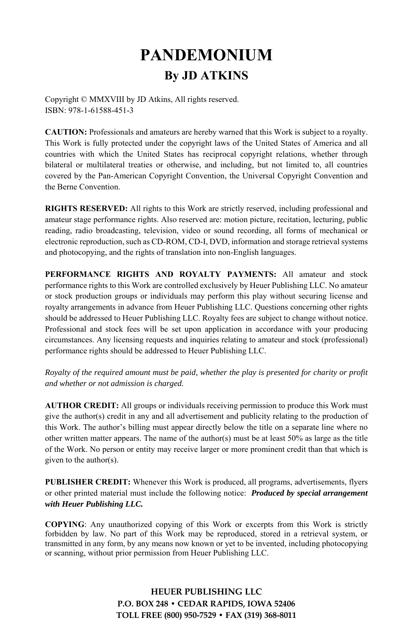# **PANDEMONIUM By JD ATKINS**

Copyright © MMXVIII by JD Atkins, All rights reserved. ISBN: 978-1-61588-451-3

**CAUTION:** Professionals and amateurs are hereby warned that this Work is subject to a royalty. This Work is fully protected under the copyright laws of the United States of America and all countries with which the United States has reciprocal copyright relations, whether through bilateral or multilateral treaties or otherwise, and including, but not limited to, all countries covered by the Pan-American Copyright Convention, the Universal Copyright Convention and the Berne Convention.

**RIGHTS RESERVED:** All rights to this Work are strictly reserved, including professional and amateur stage performance rights. Also reserved are: motion picture, recitation, lecturing, public reading, radio broadcasting, television, video or sound recording, all forms of mechanical or electronic reproduction, such as CD-ROM, CD-I, DVD, information and storage retrieval systems and photocopying, and the rights of translation into non-English languages.

**PERFORMANCE RIGHTS AND ROYALTY PAYMENTS:** All amateur and stock performance rights to this Work are controlled exclusively by Heuer Publishing LLC. No amateur or stock production groups or individuals may perform this play without securing license and royalty arrangements in advance from Heuer Publishing LLC. Questions concerning other rights should be addressed to Heuer Publishing LLC. Royalty fees are subject to change without notice. Professional and stock fees will be set upon application in accordance with your producing circumstances. Any licensing requests and inquiries relating to amateur and stock (professional) performance rights should be addressed to Heuer Publishing LLC.

*Royalty of the required amount must be paid, whether the play is presented for charity or profit and whether or not admission is charged.* 

**AUTHOR CREDIT:** All groups or individuals receiving permission to produce this Work must give the author(s) credit in any and all advertisement and publicity relating to the production of this Work. The author's billing must appear directly below the title on a separate line where no other written matter appears. The name of the author(s) must be at least  $50\%$  as large as the title of the Work. No person or entity may receive larger or more prominent credit than that which is given to the author(s).

**PUBLISHER CREDIT:** Whenever this Work is produced, all programs, advertisements, flyers or other printed material must include the following notice: *Produced by special arrangement with Heuer Publishing LLC.*

**COPYING**: Any unauthorized copying of this Work or excerpts from this Work is strictly forbidden by law. No part of this Work may be reproduced, stored in a retrieval system, or transmitted in any form, by any means now known or yet to be invented, including photocopying or scanning, without prior permission from Heuer Publishing LLC.

> **HEUER PUBLISHING LLC P.O. BOX 248 • CEDAR RAPIDS, IOWA 52406 TOLL FREE (800) 950-7529 • FAX (319) 368-8011**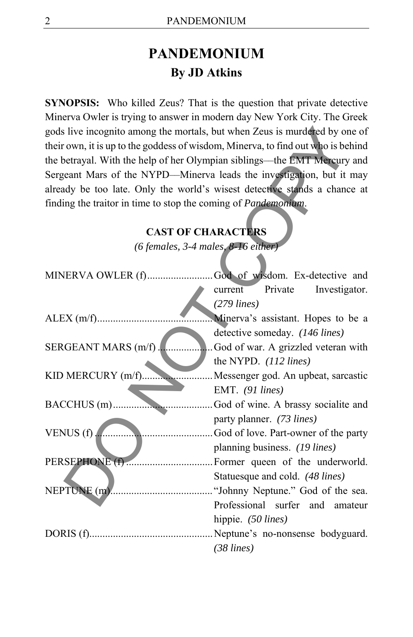# **PANDEMONIUM By JD Atkins**

**SYNOPSIS:** Who killed Zeus? That is the question that private detective Minerva Owler is trying to answer in modern day New York City. The Greek gods live incognito among the mortals, but when Zeus is murdered by one of their own, it is up to the goddess of wisdom, Minerva, to find out who is behind the betrayal. With the help of her Olympian siblings––the EMT Mercury and Sergeant Mars of the NYPD––Minerva leads the investigation, but it may already be too late. Only the world's wisest detective stands a chance at finding the traitor in time to stop the coming of *Pandemonium*.

#### **CAST OF CHARACTERS**

| gods live incognito among the mortals, but when Zeus is murdered by one of       |                                       |
|----------------------------------------------------------------------------------|---------------------------------------|
| their own, it is up to the goddess of wisdom, Minerva, to find out who is behind |                                       |
| the betrayal. With the help of her Olympian siblings—the EMT Mercury and         |                                       |
| Sergeant Mars of the NYPD-Minerva leads the investigation, but it may            |                                       |
| already be too late. Only the world's wisest detective stands a chance at        |                                       |
| finding the traitor in time to stop the coming of Pandemonium.                   |                                       |
|                                                                                  |                                       |
| <b>CAST OF CHARACTERS</b>                                                        |                                       |
| (6 females, 3-4 males, 8-16 either)                                              |                                       |
|                                                                                  |                                       |
| MINERVA OWLER (f)God of wisdom. Ex-detective and                                 |                                       |
|                                                                                  | Private<br>Investigator.<br>current   |
|                                                                                  | $(279$ lines)                         |
|                                                                                  | Minerva's assistant. Hopes to be a    |
|                                                                                  | detective someday. (146 lines)        |
| SERGEANT MARS (m/f).                                                             | God of war. A grizzled veteran with   |
|                                                                                  | the NYPD. (112 lines)                 |
| KID MERCURY (m/f)                                                                | Messenger god. An upbeat, sarcastic   |
|                                                                                  | EMT. (91 lines)                       |
| BACCHUS (m)                                                                      | God of wine. A brassy socialite and   |
|                                                                                  | party planner. (73 lines)             |
| VENUS $(f)$ .                                                                    | God of love. Part-owner of the party  |
|                                                                                  | planning business. (19 lines)         |
|                                                                                  | . Former queen of the underworld.     |
|                                                                                  | Statuesque and cold. (48 lines)       |
|                                                                                  |                                       |
|                                                                                  | Professional surfer<br>and<br>amateur |
|                                                                                  | hippie. (50 lines)                    |
|                                                                                  |                                       |
|                                                                                  | $(38$ lines)                          |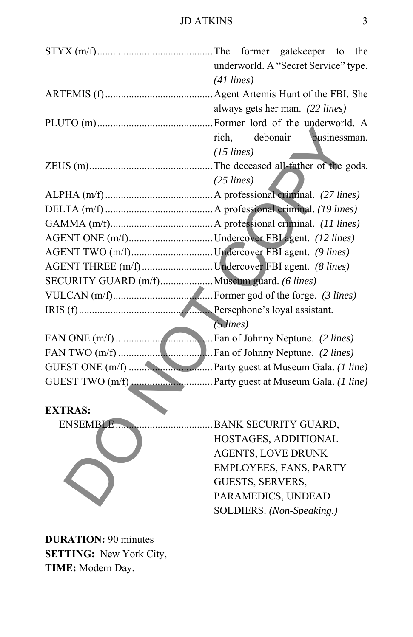|                                                  | underworld. A "Secret Service" type.<br>$(41$ lines) |
|--------------------------------------------------|------------------------------------------------------|
|                                                  | always gets her man. (22 lines)                      |
|                                                  | rich,<br>debonair<br>businessman.<br>$(15$ lines)    |
|                                                  | $(25$ lines)                                         |
|                                                  |                                                      |
|                                                  |                                                      |
|                                                  |                                                      |
| AGENT ONE (m/f)Undercover FBI agent. (12 lines)  |                                                      |
| AGENT TWO (m/f)Undercover FBI agent. (9 lines)   |                                                      |
| AGENT THREE (m/f)Undercover FBI agent. (8 lines) |                                                      |
| SECURITY GUARD (m/f) Museum guard. (6 lines)     |                                                      |
|                                                  |                                                      |
|                                                  | $(5$ lines)                                          |
|                                                  |                                                      |
|                                                  |                                                      |
|                                                  |                                                      |
|                                                  |                                                      |
| <b>EXTRAS:</b>                                   |                                                      |
| ENSEMBLE                                         | BANK SECURITY GUARD,                                 |
|                                                  | HOSTAGES, ADDITIONAL                                 |
|                                                  | <b>AGENTS, LOVE DRUNK</b>                            |
|                                                  | EMPLOYEES, FANS, PARTY                               |
|                                                  | GUESTS, SERVERS,                                     |
|                                                  | PARAMEDICS, UNDEAD                                   |
|                                                  | SOLDIERS. (Non-Speaking.)                            |
|                                                  |                                                      |

**DURATION:** 90 minutes **SETTING:** New York City, **TIME:** Modern Day.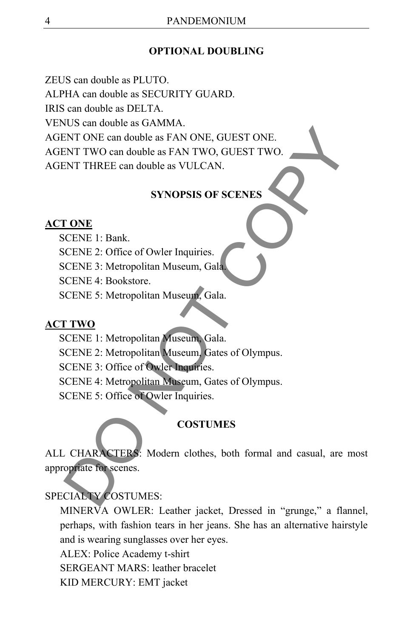#### **OPTIONAL DOUBLING**

ZEUS can double as PLUTO. ALPHA can double as SECURITY GUARD. IRIS can double as DELTA. VENUS can double as GAMMA. AGENT ONE can double as FAN ONE, GUEST ONE. AGENT TWO can double as FAN TWO, GUEST TWO. AGENT THREE can double as VULCAN. CONTROLLATION CONTROLLATION CONTROLLATION<br>
CONTROLLATION CONTROLLATION CONTROLLATION CONTROLLATION CONTROLLATION<br>
SYNOPSIS OF SCENES<br>
CONFIGUES: COPY COPY COPY CONTROLLATION CONTROLLATION CONTROLLATION CONTROLLATION CONTRO

#### **SYNOPSIS OF SCENES**

#### **ACT ONE**

SCENE 1: Bank.

SCENE 2: Office of Owler Inquiries.

SCENE 3: Metropolitan Museum, Gala.

SCENE 4: Bookstore.

SCENE 5: Metropolitan Museum, Gala.

#### **ACT TWO**

SCENE 1: Metropolitan Museum, Gala.

SCENE 2: Metropolitan Museum, Gates of Olympus.

SCENE 3: Office of Owler Inquiries.

SCENE 4: Metropolitan Museum, Gates of Olympus.

SCENE 5: Office of Owler Inquiries.

#### **COSTUMES**

ALL CHARACTERS: Modern clothes, both formal and casual, are most appropriate for scenes.

#### SPECIALTY COSTUMES:

MINERVA OWLER: Leather jacket, Dressed in "grunge," a flannel, perhaps, with fashion tears in her jeans. She has an alternative hairstyle and is wearing sunglasses over her eyes.

ALEX: Police Academy t-shirt

SERGEANT MARS: leather bracelet

KID MERCURY: EMT jacket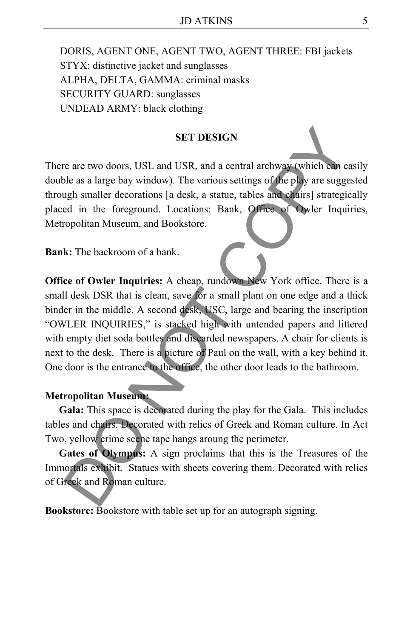DORIS, AGENT ONE, AGENT TWO, AGENT THREE: FBI jackets STYX: distinctive jacket and sunglasses ALPHA, DELTA, GAMMA: criminal masks SECURITY GUARD: sunglasses UNDEAD ARMY: black clothing

#### **SET DESIGN**

There are two doors, USL and USR, and a central archway (which can easily double as a large bay window). The various settings of the play are suggested through smaller decorations [a desk, a statue, tables and chairs] strategically placed in the foreground. Locations: Bank, Office of Owler Inquiries, Metropolitan Museum, and Bookstore.

**Bank:** The backroom of a bank.

**Office of Owler Inquiries:** A cheap, rundown New York office. There is a small desk DSR that is clean, save for a small plant on one edge and a thick binder in the middle. A second desk, USC, large and bearing the inscription "OWLER INQUIRIES," is stacked high with untended papers and littered with empty diet soda bottles and discarded newspapers. A chair for clients is next to the desk. There is a picture of Paul on the wall, with a key behind it. One door is the entrance to the office, the other door leads to the bathroom. SET DESIGN<br>
SET DESIGN<br>
The are two doors, USL and USR, and a central archway (which can et<br>
ble as a large bay window). The various settings of the play are sugged<br>
and the foreground. Locations: Bank, offices and otheirs

#### **Metropolitan Museum:**

**Gala:** This space is decorated during the play for the Gala. This includes tables and chairs. Decorated with relics of Greek and Roman culture. In Act Two, yellow crime scene tape hangs aroung the perimeter.

**Gates of Olympus:** A sign proclaims that this is the Treasures of the Immortals exhibit. Statues with sheets covering them. Decorated with relics of Greek and Roman culture.

**Bookstore:** Bookstore with table set up for an autograph signing.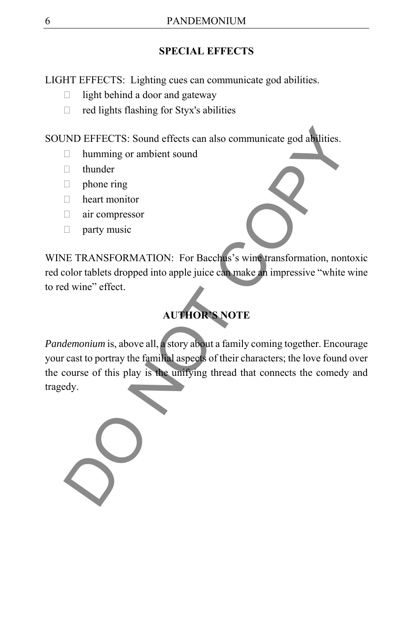### **SPECIAL EFFECTS**

LIGHT EFFECTS: Lighting cues can communicate god abilities.

- $\Box$  light behind a door and gateway
- $\Box$  red lights flashing for Styx's abilities

SOUND EFFECTS: Sound effects can also communicate god abilities.

- □ humming or ambient sound
- □ thunder
- $\Box$  phone ring
- heart monitor
- air compressor
- $\Box$  party music

WINE TRANSFORMATION: For Bacchus's wine transformation, nontoxic red color tablets dropped into apple juice can make an impressive "white wine to red wine" effect.

# **AUTHOR'S NOTE**

*Pandemonium* is, above all, a story about a family coming together. Encourage your cast to portray the familial aspects of their characters; the love found over the course of this play is the unifying thread that connects the comedy and tragedy. ND EFFECTS: Sound effects can also communicate god at allities.<br>
<br>
□ humming or ambient sound<br>
□ thunder<br>
□ heart monitor<br>
□ heart monitor<br>
□ heart monitor<br>
□ heart monitor<br>
□ heart monitor<br>
□ heart monitor<br>
□ heart monit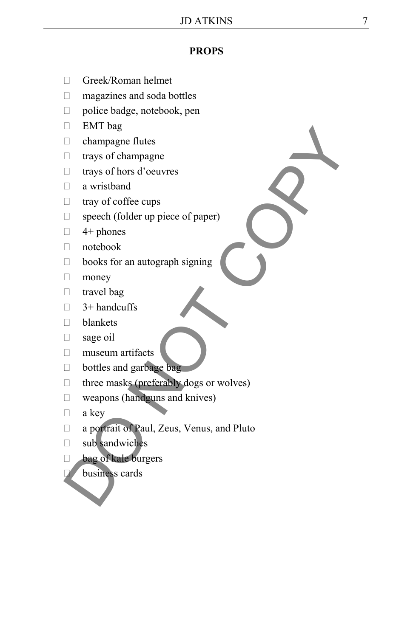#### **PROPS**

- Greek/Roman helmet
- magazines and soda bottles
- □ police badge, notebook, pen
- $\Box$  EMT bag
- champagne flutes
- $\Box$  trays of champagne
- trays of hors d'oeuvres
- a wristband
- $\Box$  tray of coffee cups
- $\Box$  speech (folder up piece of paper)
- $\Box$  4+ phones
- notebook
- books for an autograph signing
- **money**
- $\Box$  travel bag
- $\Box$  3+ handcuffs
- □ blankets
- sage oil
- museum artifacts
- bottles and garbage bag
- $\Box$  three masks (preferably dogs or wolves)
- weapons (handguns and knives)
- $\Box$  a key
- □ a portrait of Paul, Zeus, Venus, and Pluto Extributed<br>
analyze of changes flutes<br>
a trays of changes flutes<br>
a viristband<br>
a tray of coffee cups<br>
a wristband<br>
a tray of coffee cups<br>
<br>
a sage of (folder up piece of paper)<br>
<br>
a 4+ phones<br>
<br>
a notebook<br>
<br>
books for a
	- sub sandwiches
	- bag of kale burgers
		- business cards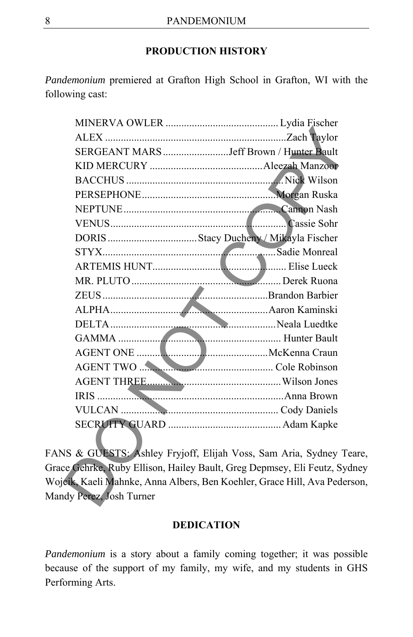#### **PRODUCTION HISTORY**

*Pandemonium* premiered at Grafton High School in Grafton, WI with the following cast:

|                       | SERGEANT MARS Jeff Brown / Hunter Bault                            |
|-----------------------|--------------------------------------------------------------------|
|                       |                                                                    |
|                       |                                                                    |
|                       |                                                                    |
|                       |                                                                    |
|                       |                                                                    |
|                       |                                                                    |
|                       |                                                                    |
|                       |                                                                    |
|                       |                                                                    |
|                       |                                                                    |
|                       |                                                                    |
|                       |                                                                    |
|                       |                                                                    |
|                       |                                                                    |
|                       |                                                                    |
|                       |                                                                    |
|                       |                                                                    |
|                       |                                                                    |
|                       |                                                                    |
|                       | IS & GUESTS: Ashley Fryjoff, Elijah Voss, Sam Aria, Sydney To      |
|                       | e Gehrke, Ruby Ellison, Hailey Bault, Greg Depmsey, Eli Feutz, Syd |
|                       | cik, Kaeli Mahnke, Anna Albers, Ben Koehler, Grace Hill, Ava Peder |
| dy Perez, Josh Turner |                                                                    |
|                       |                                                                    |

FANS & GUESTS: Ashley Fryjoff, Elijah Voss, Sam Aria, Sydney Teare, Grace Gehrke, Ruby Ellison, Hailey Bault, Greg Depmsey, Eli Feutz, Sydney Wojcik, Kaeli Mahnke, Anna Albers, Ben Koehler, Grace Hill, Ava Pederson, Mandy Perez, Josh Turner

#### **DEDICATION**

*Pandemonium* is a story about a family coming together; it was possible because of the support of my family, my wife, and my students in GHS Performing Arts.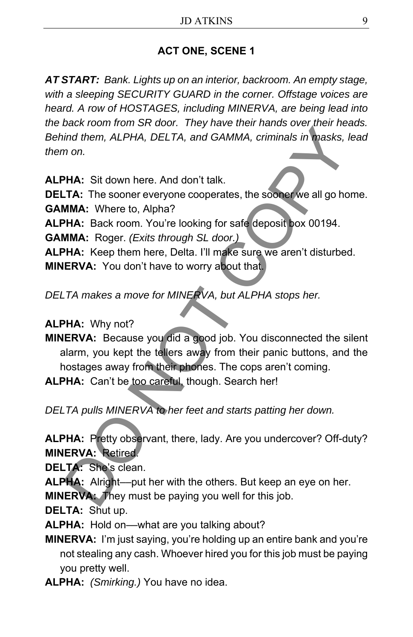## **ACT ONE, SCENE 1**

*AT START: Bank. Lights up on an interior, backroom. An empty stage, with a sleeping SECURITY GUARD in the corner. Offstage voices are heard. A row of HOSTAGES, including MINERVA, are being lead into the back room from SR door. They have their hands over their heads. Behind them, ALPHA, DELTA, and GAMMA, criminals in masks, lead them on.* 

**ALPHA:** Sit down here. And don't talk. **DELTA:** The sooner everyone cooperates, the sooner we all go home. **GAMMA:** Where to, Alpha? **ALPHA:** Back room. You're looking for safe deposit box 00194. **GAMMA:** Roger. *(Exits through SL door.)*  **ALPHA:** Keep them here, Delta. I'll make sure we aren't disturbed. **MINERVA:** You don't have to worry about that. Continued them, ALPHA, DELTA, and GAMMA, criminals in masks, in on.<br>
That them, ALPHA, DELTA, and GAMMA, criminals in masks, in<br>
MMA: Sit down here. And don't talk.<br> **ETA:** The sooner everyone cooperates, the some we all g

*DELTA makes a move for MINERVA, but ALPHA stops her.* 

### **ALPHA:** Why not?

**MINERVA:** Because you did a good job. You disconnected the silent alarm, you kept the tellers away from their panic buttons, and the hostages away from their phones. The cops aren't coming. **ALPHA:** Can't be too careful, though. Search her!

*DELTA pulls MINERVA to her feet and starts patting her down.* 

**ALPHA:** Pretty observant, there, lady. Are you undercover? Off-duty? **MINERVA:** Retired.

**DELTA:** She's clean.

**ALPHA:** Alright––put her with the others. But keep an eye on her. **MINERVA:** They must be paying you well for this job.

**DELTA:** Shut up.

**ALPHA:** Hold on––what are you talking about?

**MINERVA:** I'm just saying, you're holding up an entire bank and you're not stealing any cash. Whoever hired you for this job must be paying you pretty well.

**ALPHA:** *(Smirking.)* You have no idea.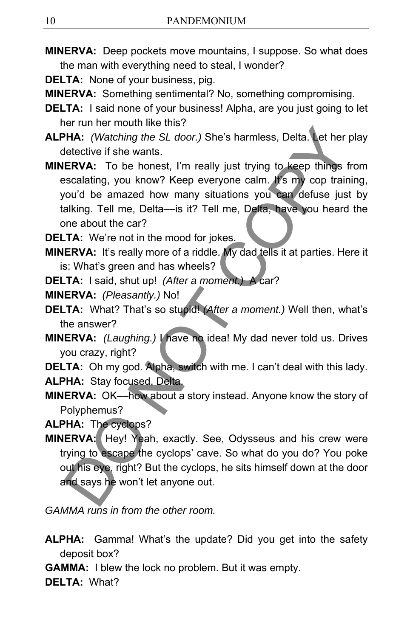- **MINERVA:** Deep pockets move mountains, I suppose. So what does the man with everything need to steal, I wonder?
- **DELTA:** None of your business, pig.
- **MINERVA:** Something sentimental? No, something compromising.
- **DELTA:** I said none of your business! Alpha, are you just going to let her run her mouth like this?
- **ALPHA:** *(Watching the SL door.)* She's harmless, Delta. Let her play detective if she wants.
- **MINERVA:** To be honest, I'm really just trying to keep things from escalating, you know? Keep everyone calm. It's my cop training, you'd be amazed how many situations you can defuse just by talking. Tell me, Delta––is it? Tell me, Delta, have you heard the one about the car? **ERVA:** Watching the SL door.) She's harmless, Delta. Let her letective if she wants.<br> **ERVA:** (Watching the SL door.) She's harmless, Delta. Let her letective if she wants.<br> **ERVA:** To be honest, I'm really just trying to

**DELTA:** We're not in the mood for jokes.

- **MINERVA:** It's really more of a riddle. My dad tells it at parties. Here it is: What's green and has wheels?
- **DELTA:** I said, shut up! *(After a moment.)* A car?

**MINERVA:** *(Pleasantly.)* No!

- **DELTA:** What? That's so stupid! *(After a moment.)* Well then, what's the answer?
- **MINERVA:** *(Laughing.)* I have no idea! My dad never told us. Drives you crazy, right?

**DELTA:** Oh my god. Alpha, switch with me. I can't deal with this lady. **ALPHA:** Stay focused, Delta.

**MINERVA:** OK––how about a story instead. Anyone know the story of Polyphemus?

**ALPHA:** The cyclops?

**MINERVA:** Hey! Yeah, exactly. See, Odysseus and his crew were trying to escape the cyclops' cave. So what do you do? You poke out his eye, right? But the cyclops, he sits himself down at the door and says he won't let anyone out.

*GAMMA runs in from the other room.*

- **ALPHA:** Gamma! What's the update? Did you get into the safety deposit box?
- **GAMMA:** I blew the lock no problem. But it was empty.

**DELTA:** What?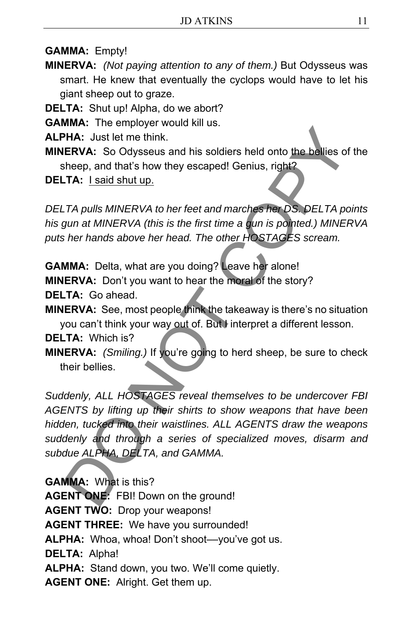**GAMMA:** Empty!

**MINERVA:** *(Not paying attention to any of them.)* But Odysseus was smart. He knew that eventually the cyclops would have to let his giant sheep out to graze.

**DELTA:** Shut up! Alpha, do we abort?

**GAMMA:** The employer would kill us.

**ALPHA:** Just let me think.

**MINERVA:** So Odysseus and his soldiers held onto the bellies of the sheep, and that's how they escaped! Genius, right?

**DELTA:** I said shut up.

*DELTA pulls MINERVA to her feet and marches her DS. DELTA points his gun at MINERVA (this is the first time a gun is pointed.) MINERVA puts her hands above her head. The other HOSTAGES scream.* 

**GAMMA:** Delta, what are you doing? Leave her alone! **MINERVA:** Don't you want to hear the moral of the story? **DELTA:** Go ahead.

**MINERVA:** See, most people think the takeaway is there's no situation you can't think your way out of. But I interpret a different lesson.

#### **DELTA:** Which is?

**MINERVA:** *(Smiling.)* If you're going to herd sheep, be sure to check their bellies.

*Suddenly, ALL HOSTAGES reveal themselves to be undercover FBI AGENTS by lifting up their shirts to show weapons that have been hidden, tucked into their waistlines. ALL AGENTS draw the weapons suddenly and through a series of specialized moves, disarm and subdue ALPHA, DELTA, and GAMMA.*  WHA: Just let me think.<br>HA: Just let me think.<br>
HA: Just let me think.<br>
ERVA: So Odysseus and his soldiers held onto the bellies of<br>
theep, and that's how they escaped! Genius, right?<br>
TA: I said shut up.<br>
TA pulls MINERVA

**GAMMA:** What is this? **AGENT ONE:** FBI! Down on the ground! **AGENT TWO:** Drop your weapons! **AGENT THREE:** We have you surrounded! ALPHA: Whoa, whoa! Don't shoot--you've got us. **DELTA:** Alpha! **ALPHA:** Stand down, you two. We'll come quietly. **AGENT ONE:** Alright. Get them up.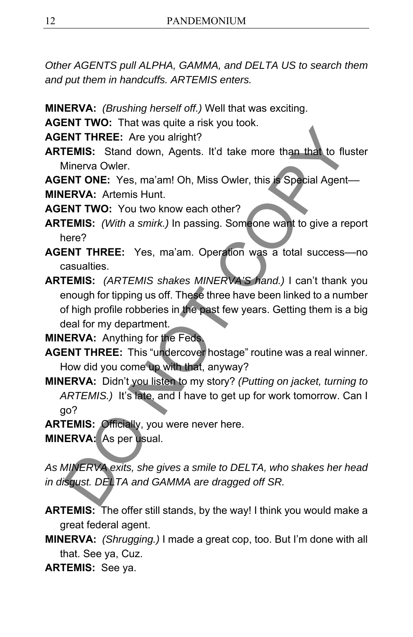*Other AGENTS pull ALPHA, GAMMA, and DELTA US to search them and put them in handcuffs. ARTEMIS enters.* 

- **MINERVA:** *(Brushing herself off.)* Well that was exciting.
- **AGENT TWO:** That was quite a risk you took.

**AGENT THREE:** Are you alright?

- **ARTEMIS:** Stand down, Agents. It'd take more than that to fluster Minerva Owler.
- **AGENT ONE:** Yes, ma'am! Oh, Miss Owler, this is Special Agent–– **MINERVA:** Artemis Hunt.

**AGENT TWO:** You two know each other?

- **ARTEMIS:** *(With a smirk.)* In passing. Someone want to give a report here?
- **AGENT THREE:** Yes, ma'am. Operation was a total success––no casualties.

**ARTEMIS:** *(ARTEMIS shakes MINERVA'S hand.)* I can't thank you enough for tipping us off. These three have been linked to a number of high profile robberies in the past few years. Getting them is a big deal for my department. ENT THREE: Are you alright?<br>
FINT THREE: Are you alright?<br>
FINT THREE: Are you alright?<br>
FINT THREE: Yes, ma'am! Oh, Miss Owler, this is Special Agent-<br>
ENT ONE: Yes, ma'am! Oh, Miss Owler, this is Special Agent-<br>
ENT TWO:

**MINERVA:** Anything for the Feds.

- **AGENT THREE:** This "undercover hostage" routine was a real winner. How did you come up with that, anyway?
- **MINERVA:** Didn't you listen to my story? *(Putting on jacket, turning to ARTEMIS.)* It's late, and I have to get up for work tomorrow. Can I go?
- **ARTEMIS:** Officially, you were never here.

**MINERVA:** As per usual.

*As MINERVA exits, she gives a smile to DELTA, who shakes her head in disgust. DELTA and GAMMA are dragged off SR.* 

- **ARTEMIS:** The offer still stands, by the way! I think you would make a great federal agent.
- **MINERVA:** *(Shrugging.)* I made a great cop, too. But I'm done with all that. See ya, Cuz.

**ARTEMIS:** See ya.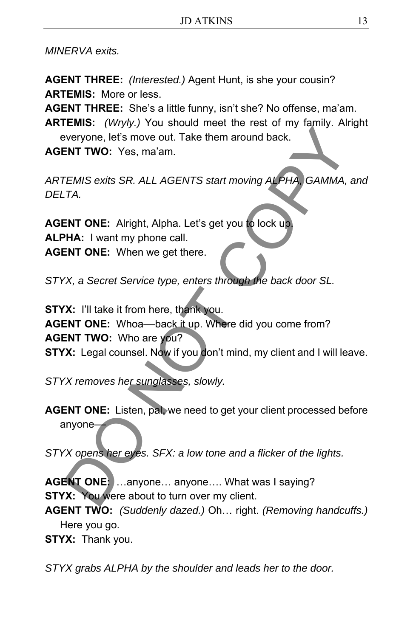*MINERVA exits.* 

**AGENT THREE:** *(Interested.)* Agent Hunt, is she your cousin? **ARTEMIS:** More or less.

**AGENT THREE:** She's a little funny, isn't she? No offense, ma'am.

**ARTEMIS:** *(Wryly.)* You should meet the rest of my family. Alright everyone, let's move out. Take them around back.

**AGENT TWO:** Yes, ma'am.

*ARTEMIS exits SR. ALL AGENTS start moving ALPHA, GAMMA, and DELTA.* 

**AGENT ONE:** Alright, Alpha. Let's get you to lock up. **ALPHA:** I want my phone call. **AGENT ONE:** When we get there.

*STYX, a Secret Service type, enters through the back door SL.* 

**STYX:** I'll take it from here, thank you. AGENT ONE: Whoa--back it up. Where did you come from? **AGENT TWO:** Who are you? **STYX:** Legal counsel. Now if you don't mind, my client and I will leave. ENT TWO: Veryone, lefts move out. Take them around back.<br>
ENT TWO: Yes, ma'am.<br>
FEMIS exits SR. ALL AGENTS start moving ALPHA, GAMMA,<br>
TA.<br>
INT ONE: Alright, Alpha. Let's get you to lock up.<br>
PHA: I want my phone call.<br>
EN

*STYX removes her sunglasses, slowly.* 

**AGENT ONE:** Listen, pal, we need to get your client processed before anyone-

*STYX opens her eyes. SFX: a low tone and a flicker of the lights.* 

**AGENT ONE:** …anyone… anyone…. What was I saying? **STYX:** You were about to turn over my client.

**AGENT TWO:** *(Suddenly dazed.)* Oh… right. *(Removing handcuffs.)*  Here you go.

**STYX:** Thank you.

*STYX grabs ALPHA by the shoulder and leads her to the door.*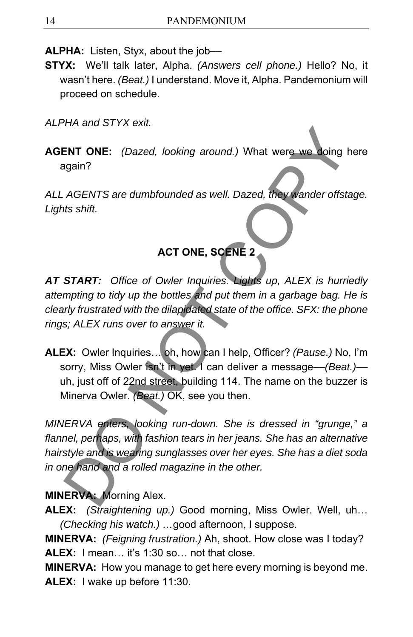**ALPHA:** Listen, Styx, about the job-

**STYX:** We'll talk later, Alpha. *(Answers cell phone.)* Hello? No, it wasn't here. *(Beat.)* I understand. Move it, Alpha. Pandemonium will proceed on schedule.

*ALPHA and STYX exit.* 

**AGENT ONE:** *(Dazed, looking around.)* What were we doing here again?

*ALL AGENTS are dumbfounded as well. Dazed, they wander offstage. Lights shift.* 

# **ACT ONE, SCENE 2**

*AT START: Office of Owler Inquiries. Lights up, ALEX is hurriedly attempting to tidy up the bottles and put them in a garbage bag. He is clearly frustrated with the dilapidated state of the office. SFX: the phone rings; ALEX runs over to answer it.* 

**ALEX:** Owler Inquiries… oh, how can I help, Officer? *(Pause.)* No, I'm sorry, Miss Owler isn't in yet. I can deliver a message––*(Beat.)––* uh, just off of 22nd street, building 114. The name on the buzzer is Minerva Owler. *(Beat.)* OK, see you then. ENT ONE: (Dazed, looking around.) What were we doing to<br>gain?<br>AGENTS are dumbfounded as well. Dazed, they wander offstats shift.<br>ACT ONE, SCENE 2<br>START: Office of Owler Inquiries. Lights up, ALEX is hurrimpting to tidy up

*MINERVA enters, looking run-down. She is dressed in "grunge," a flannel, perhaps, with fashion tears in her jeans. She has an alternative hairstyle and is wearing sunglasses over her eyes. She has a diet soda in one hand and a rolled magazine in the other.* 

### **MINERVA:** Morning Alex.

**ALEX:** *(Straightening up.)* Good morning, Miss Owler. Well, uh… *(Checking his watch.) …*good afternoon, I suppose.

**MINERVA:** *(Feigning frustration.)* Ah, shoot. How close was I today? **ALEX:** I mean… it's 1:30 so… not that close.

**MINERVA:** How you manage to get here every morning is beyond me. **ALEX:** I wake up before 11:30.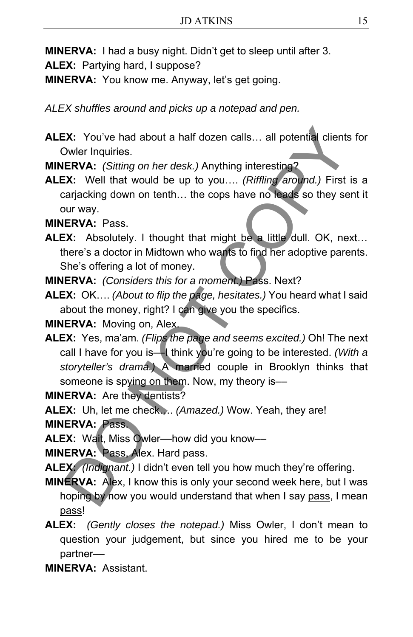**MINERVA:** I had a busy night. Didn't get to sleep until after 3.

**ALEX:** Partying hard, I suppose?

**MINERVA:** You know me. Anyway, let's get going.

*ALEX shuffles around and picks up a notepad and pen.*

**ALEX:** You've had about a half dozen calls… all potential clients for Owler Inquiries.

**MINERVA:** *(Sitting on her desk.)* Anything interesting?

**ALEX:** Well that would be up to you…. *(Riffling around.)* First is a carjacking down on tenth… the cops have no leads so they sent it our way.

**MINERVA:** Pass.

- **ALEX:** Absolutely. I thought that might be a little dull. OK, next… there's a doctor in Midtown who wants to find her adoptive parents. She's offering a lot of money.
- **MINERVA:** *(Considers this for a moment.)* Pass. Next?
- **ALEX:** OK…. *(About to flip the page, hesitates.)* You heard what I said about the money, right? I can give you the specifics.

**MINERVA:** Moving on, Alex.

**ALEX:** Yes, ma'am. *(Flips the page and seems excited.)* Oh! The next call I have for you is––I think you're going to be interested. *(With a storyteller's drama.)* A married couple in Brooklyn thinks that someone is spying on them. Now, my theory is--EX: You've had about a half dozen calls... all potential clients<br>
Dowler Inquiries.<br>
ERVA: (Sitting on her desk.) Anything interesting?<br>
ERVA: (Sitting on her desk.) Anything interesting?<br>
2X: Well that would be up to you

**MINERVA:** Are they dentists?

**ALEX:** Uh, let me check…. *(Amazed.)* Wow. Yeah, they are!

**MINERVA:** Pass.

**ALEX:** Wait, Miss Owler––how did you know––

**MINERVA:** Pass, Alex. Hard pass.

**ALEX:** *(Indignant.)* I didn't even tell you how much they're offering.

- **MINERVA:** Alex, I know this is only your second week here, but I was hoping by now you would understand that when I say pass, I mean pass!
- **ALEX:** *(Gently closes the notepad.)* Miss Owler, I don't mean to question your judgement, but since you hired me to be your partner––

**MINERVA:** Assistant.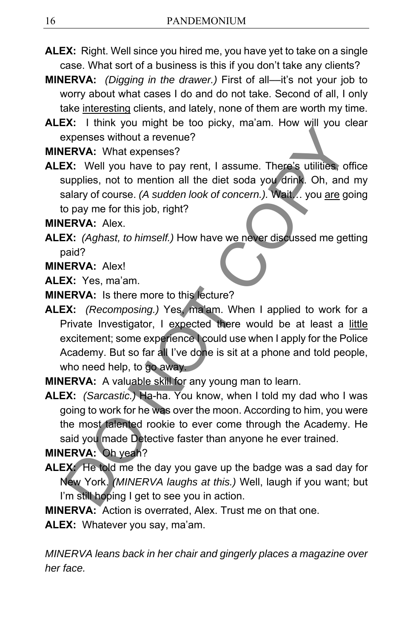- **ALEX:** Right. Well since you hired me, you have yet to take on a single case. What sort of a business is this if you don't take any clients?
- **MINERVA:** *(Digging in the drawer.)* First of all––it's not your job to worry about what cases I do and do not take. Second of all, I only take interesting clients, and lately, none of them are worth my time.
- **ALEX:** I think you might be too picky, ma'am. How will you clear expenses without a revenue?

**MINERVA:** What expenses?

**ALEX:** Well you have to pay rent, I assume. There's utilities, office supplies, not to mention all the diet soda you drink. Oh, and my salary of course. *(A sudden look of concern.).* Wait… you are going to pay me for this job, right?

**MINERVA:** Alex.

**ALEX:** *(Aghast, to himself.)* How have we never discussed me getting paid?

**MINERVA:** Alex!

**ALEX:** Yes, ma'am.

**MINERVA:** Is there more to this lecture?

- **ALEX:** *(Recomposing.)* Yes, ma'am. When I applied to work for a Private Investigator, I expected there would be at least a little excitement; some experience I could use when I apply for the Police Academy. But so far all I've done is sit at a phone and told people, who need help, to go away. ERVA: Them, you may be the play of the correct profit and the divided and the divided and the divided and o pay me for this job, right?<br>
ERVA: What expenses?<br>
ERVA: What expenses?<br>
USING the divided not of of oncern.). Whi
- **MINERVA:** A valuable skill for any young man to learn.
- **ALEX:** *(Sarcastic.)* Ha-ha. You know, when I told my dad who I was going to work for he was over the moon. According to him, you were the most talented rookie to ever come through the Academy. He said you made Detective faster than anyone he ever trained.

**MINERVA:** Oh yeah?

**ALEX:** He told me the day you gave up the badge was a sad day for New York. *(MINERVA laughs at this.)* Well, laugh if you want; but I'm still hoping I get to see you in action.

**MINERVA:** Action is overrated, Alex. Trust me on that one.

**ALEX:** Whatever you say, ma'am.

*MINERVA leans back in her chair and gingerly places a magazine over her face.*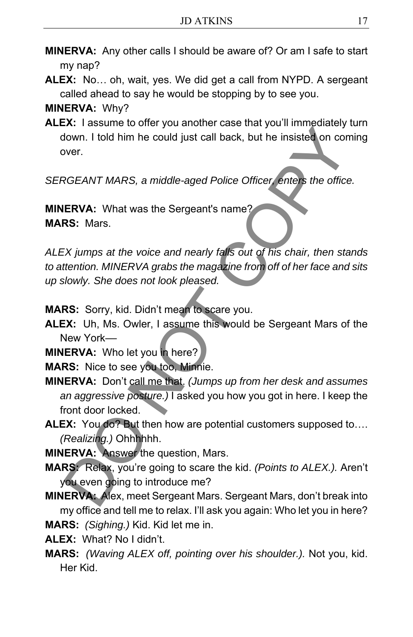- **MINERVA:** Any other calls I should be aware of? Or am I safe to start my nap?
- **ALEX:** No… oh, wait, yes. We did get a call from NYPD. A sergeant called ahead to say he would be stopping by to see you.

**MINERVA:** Why?

**ALEX:** I assume to offer you another case that you'll immediately turn down. I told him he could just call back, but he insisted on coming over.

*SERGEANT MARS, a middle-aged Police Officer, enters the office.* 

**MINERVA:** What was the Sergeant's name? **MARS:** Mars.

*ALEX jumps at the voice and nearly falls out of his chair, then stands to attention. MINERVA grabs the magazine from off of her face and sits up slowly. She does not look pleased.* ENVA: Hotel of the could just call back, but he insisted on condition. I told him he could just call back, but he insisted on condition.<br>
Nown. I told him he could just call back, but he insisted on condition.<br>
NOE ERVA: W

**MARS:** Sorry, kid. Didn't mean to scare you.

**ALEX:** Uh, Ms. Owler, I assume this would be Sergeant Mars of the New York––

**MINERVA:** Who let you in here?

**MARS:** Nice to see you too, Minnie.

- **MINERVA:** Don't call me that. *(Jumps up from her desk and assumes an aggressive posture.)* I asked you how you got in here. I keep the front door locked.
- **ALEX:** You do? But then how are potential customers supposed to…. *(Realizing.)* Ohhhhhh.

**MINERVA:** Answer the question, Mars.

**MARS:** Relax, you're going to scare the kid. *(Points to ALEX.).* Aren't you even going to introduce me?

**MINERVA:** Alex, meet Sergeant Mars. Sergeant Mars, don't break into my office and tell me to relax. I'll ask you again: Who let you in here? **MARS:** *(Sighing.)* Kid. Kid let me in.

**ALEX:** What? No I didn't.

**MARS:** *(Waving ALEX off, pointing over his shoulder.).* Not you, kid. Her Kid.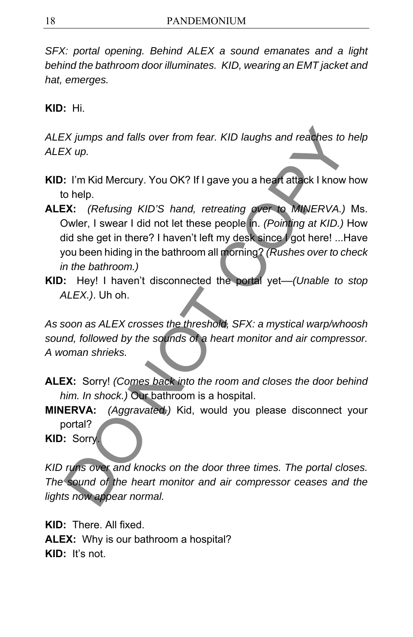*SFX: portal opening. Behind ALEX a sound emanates and a light behind the bathroom door illuminates. KID, wearing an EMT jacket and hat, emerges.* 

**KID:** Hi.

*ALEX jumps and falls over from fear. KID laughs and reaches to help ALEX up.* 

- **KID:** I'm Kid Mercury. You OK? If I gave you a heart attack I know how to help.
- **ALEX:** *(Refusing KID'S hand, retreating over to MINERVA.)* Ms. Owler, I swear I did not let these people in. *(Pointing at KID.)* How did she get in there? I haven't left my desk since I got here! ...Have you been hiding in the bathroom all morning? *(Rushes over to check in the bathroom.)*  Examples and falls over from fear. KID laughs and reaches to EX up.<br>
Solvent to the SND of the SND (SND) in the SND of the SND (SND) of the SND of the SND of the SND (Refusing KID'S hand, retreating over to MINERVA.)<br>
Dome
- **KID:** Hey! I haven't disconnected the portal yet––*(Unable to stop ALEX.)*. Uh oh.

*As soon as ALEX crosses the threshold, SFX: a mystical warp/whoosh sound, followed by the sounds of a heart monitor and air compressor. A woman shrieks.* 

- **ALEX:** Sorry! *(Comes back into the room and closes the door behind him. In shock.)* Our bathroom is a hospital.
- **MINERVA:** *(Aggravated.)* Kid, would you please disconnect your portal?

**KID:** Sorry.

*KID runs over and knocks on the door three times. The portal closes. The sound of the heart monitor and air compressor ceases and the lights now appear normal.* 

**KID:** There. All fixed. **ALEX:** Why is our bathroom a hospital? **KID:** It's not.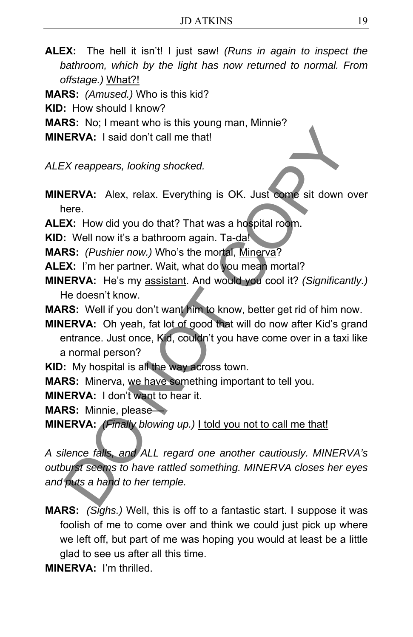- **ALEX:** The hell it isn't! I just saw! *(Runs in again to inspect the bathroom, which by the light has now returned to normal. From offstage.)* What?!
- **MARS:** *(Amused.)* Who is this kid?
- **KID:** How should I know?
- **MARS:** No; I meant who is this young man, Minnie?
- **MINERVA:** I said don't call me that!
- *ALEX reappears, looking shocked.*
- **MINERVA:**Alex, relax. Everything is OK. Just come sit down over here.
- **ALEX:** How did you do that? That was a hospital room.
- **KID:** Well now it's a bathroom again. Ta-da!
- **MARS:** *(Pushier now.)* Who's the mortal, Minerva?
- **ALEX:** I'm her partner. Wait, what do you mean mortal?
- **MINERVA:** He's my assistant. And would you cool it? *(Significantly.)*  He doesn't know.
- **MARS:** Well if you don't want him to know, better get rid of him now.
- **MINERVA:** Oh yeah, fat lot of good that will do now after Kid's grand entrance. Just once, Kid, couldn't you have come over in a taxi like a normal person?
- **KID:** My hospital is all the way across town.
- **MARS:** Minerva, we have something important to tell you.
- **MINERVA:** I don't want to hear it.
- **MARS:** Minnie, please––
- **MINERVA:** *(Finally blowing up.)* I told you not to call me that!

*A silence falls, and ALL regard one another cautiously. MINERVA's outburst seems to have rattled something. MINERVA closes her eyes and puts a hand to her temple.* ERVA: I said don't call me that!<br>
ERVA: I said don't call me that!<br>
ERVA: I said don't call me that!<br>
ERVA: Alex, relax. Everything is OK. Just come sit down<br>
ere.<br>
2. Y. How did you do that? That was a hospital room.<br>
2.

- **MARS:** *(Sighs.)* Well, this is off to a fantastic start. I suppose it was foolish of me to come over and think we could just pick up where we left off, but part of me was hoping you would at least be a little glad to see us after all this time.
- **MINERVA:** I'm thrilled.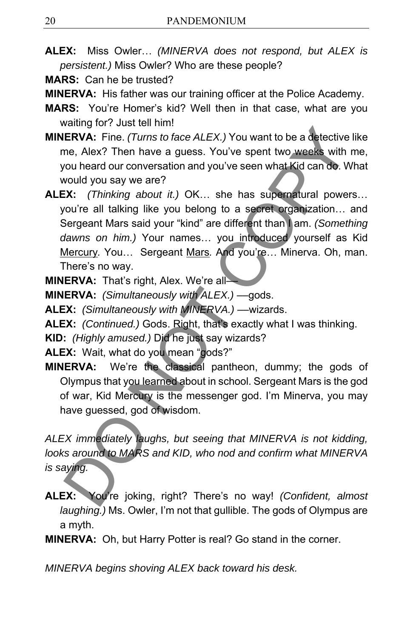**ALEX:** Miss Owler… *(MINERVA does not respond, but ALEX is persistent.)* Miss Owler? Who are these people?

**MARS:** Can he be trusted?

**MINERVA:** His father was our training officer at the Police Academy.

- **MARS:** You're Homer's kid? Well then in that case, what are you waiting for? Just tell him!
- **MINERVA:** Fine. *(Turns to face ALEX.)* You want to be a detective like me, Alex? Then have a guess. You've spent two weeks with me, you heard our conversation and you've seen what Kid can do. What would you say we are?
- **ALEX:** *(Thinking about it.)* OK… she has supernatural powers… you're all talking like you belong to a secret organization… and Sergeant Mars said your "kind" are different than I am. *(Something dawns on him.)* Your names… you introduced yourself as Kid Mercury*.* You… Sergeant Mars*.* And you're… Minerva. Oh, man. There's no way. ERVA: Fine. (Turns to face ALEX.) You want to be a detective<br>
ERVA: Fine. (Turns to face ALEX.) You want to be a detective<br>
me, Alex? Then have a guess. You've spent two weeks with<br>
rou heard our conversation and you've se

**MINERVA:** That's right, Alex. We're all–

**MINERVA:** *(Simultaneously with ALEX.)* ––gods.

**ALEX:** *(Simultaneously with MINERVA.)* ––wizards.

**ALEX:** *(Continued.)* Gods. Right, that's exactly what I was thinking.

**KID:** *(Highly amused.)* Did he just say wizards?

**ALEX:** Wait, what do you mean "gods?"

**MINERVA:** We're the classical pantheon, dummy; the gods of Olympus that you learned about in school. Sergeant Mars is the god of war, Kid Mercury is the messenger god. I'm Minerva, you may have guessed, god of wisdom.

*ALEX immediately laughs, but seeing that MINERVA is not kidding, looks around to MARS and KID, who nod and confirm what MINERVA is saying.* 

**ALEX:** You're joking, right? There's no way! *(Confident, almost laughing.)* Ms. Owler, I'm not that gullible. The gods of Olympus are a myth.

**MINERVA:** Oh, but Harry Potter is real? Go stand in the corner.

*MINERVA begins shoving ALEX back toward his desk.*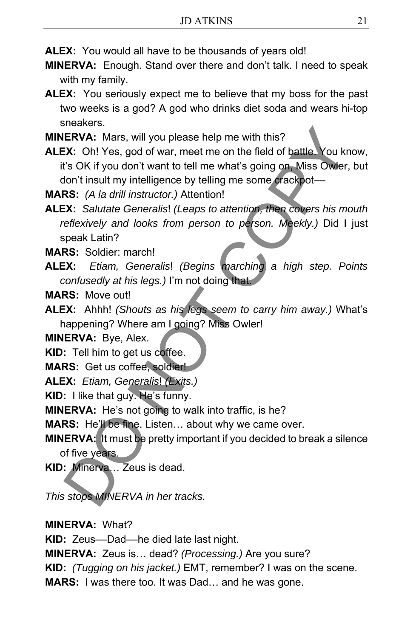**ALEX:** You would all have to be thousands of years old!

- **MINERVA:** Enough. Stand over there and don't talk. I need to speak with my family.
- **ALEX:** You seriously expect me to believe that my boss for the past two weeks is a god? A god who drinks diet soda and wears hi-top sneakers.
- **MINERVA:** Mars, will you please help me with this?
- **ALEX:** Oh! Yes, god of war, meet me on the field of battle. You know, it's OK if you don't want to tell me what's going on, Miss Owler, but don't insult my intelligence by telling me some crackpot–– **ERVA:** Mars, will you please help me with this?<br> **ERVA:** Mars, will you please help me with this?<br> **ERVA:** Oh! Yes, god of war, meet me on the field of battle. You kn's OK if you don't want to tell me what's going on. Mis
- **MARS:** *(A la drill instructor.)* Attention!
- **ALEX:** *Salutate Generalis*! *(Leaps to attention, then covers his mouth reflexively and looks from person to person. Meekly.)* Did I just speak Latin?
- **MARS:** Soldier: march!
- **ALEX:** *Etiam, Generalis*! *(Begins marching a high step. Points confusedly at his legs.)* I'm not doing that.
- **MARS:** Move out!
- **ALEX:** Ahhh! *(Shouts as his legs seem to carry him away.)* What's happening? Where am I going? Miss Owler!

**MINERVA:** Bye, Alex.

- **KID:** Tell him to get us coffee.
- **MARS:** Get us coffee, soldier!
- **ALEX:** *Etiam, Generalis*! *(Exits.)*
- **KID:** I like that guy. He's funny.
- **MINERVA:** He's not going to walk into traffic, is he?
- **MARS:** He'll be fine. Listen… about why we came over.
- **MINERVA:** It must be pretty important if you decided to break a silence of five years.

**KID:** Minerva… Zeus is dead.

*This stops MINERVA in her tracks.* 

**MINERVA:** What?

**KID:** Zeus––Dad––he died late last night.

**MINERVA:** Zeus is… dead? *(Processing.)* Are you sure?

**KID:** *(Tugging on his jacket.)* EMT, remember? I was on the scene.

**MARS:** I was there too. It was Dad… and he was gone.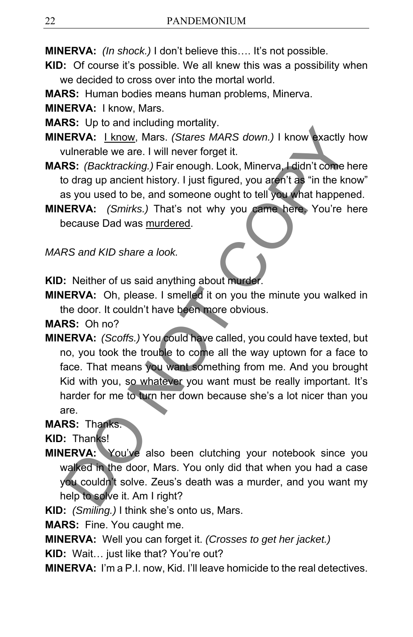**MINERVA:** *(In shock.)* I don't believe this…. It's not possible.

- **KID:** Of course it's possible. We all knew this was a possibility when we decided to cross over into the mortal world.
- **MARS:** Human bodies means human problems, Minerva.

**MINERVA:** I know, Mars.

**MARS:** Up to and including mortality.

**MINERVA:** I know, Mars. *(Stares MARS down.)* I know exactly how vulnerable we are. I will never forget it.

**MARS:** *(Backtracking.)* Fair enough. Look, Minerva, I didn't come here to drag up ancient history. I just figured, you aren't as "in the know" as you used to be, and someone ought to tell you what happened.

**MINERVA:** *(Smirks.)* That's not why you came here. You're here because Dad was murdered.

*MARS and KID share a look.* 

**KID:** Neither of us said anything about murder.

**MINERVA:** Oh, please. I smelled it on you the minute you walked in the door. It couldn't have been more obvious.

**MARS:** Oh no?

**MINERVA:** *(Scoffs.)* You could have called, you could have texted, but no, you took the trouble to come all the way uptown for a face to face. That means you want something from me. And you brought Kid with you, so whatever you want must be really important. It's harder for me to turn her down because she's a lot nicer than you are. Contraining increasing the term in the best and the correlation of the correlation of the correlation of the content of the correlation of the correlation of the correlation of the correlation of the correlation of the cor

### **MARS:** Thanks.

**KID:** Thanks!

**MINERVA:** You've also been clutching your notebook since you walked in the door, Mars. You only did that when you had a case you couldn't solve. Zeus's death was a murder, and you want my help to solve it. Am I right?

**KID:** *(Smiling.)* I think she's onto us, Mars.

**MARS:** Fine. You caught me.

**MINERVA:** Well you can forget it. *(Crosses to get her jacket.)*

**KID:** Wait… just like that? You're out?

**MINERVA:** I'm a P.I. now, Kid. I'll leave homicide to the real detectives.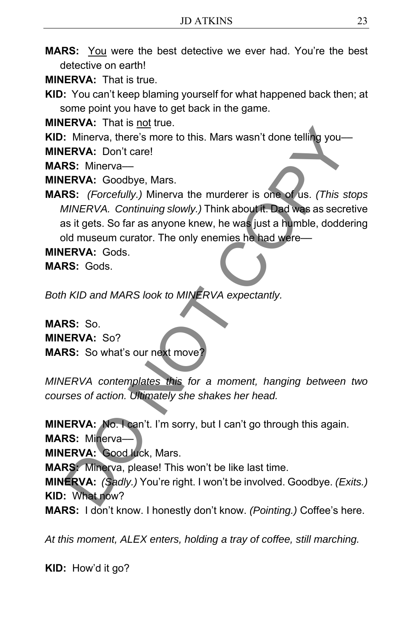**MARS:** You were the best detective we ever had. You're the best detective on earth!

**MINERVA:** That is true.

**KID:** You can't keep blaming yourself for what happened back then; at some point you have to get back in the game.

**MINERVA:** That is not true.

**KID:** Minerva, there's more to this. Mars wasn't done telling you—

**MINERVA:** Don't care!

**MARS:** Minerva––

**MINERVA:** Goodbye, Mars.

**MARS:** *(Forcefully.)* Minerva the murderer is one of us. *(This stops MINERVA. Continuing slowly.)* Think about it. Dad was as secretive as it gets. So far as anyone knew, he was just a humble, doddering old museum curator. The only enemies he had were-ENVA: Don't care is a more to this. Mars wasn't done telling you-<br>
ERVA: Don't care!<br>
RS: Minerva—<br>
RS: Minerva—<br>
RS: (Forcefully, Minerva the murderer is one of us. (This states)<br>
MINERVA: Goodbye, Mars.<br>
MINERVA: Continu

**MINERVA:** Gods.

**MARS:** Gods.

*Both KID and MARS look to MINERVA expectantly.* 

**MARS:** So. **MINERVA:** So? **MARS:** So what's our next move

*MINERVA contemplates this for a moment, hanging between two courses of action. Ultimately she shakes her head.* 

**MINERVA:** No. I can't. I'm sorry, but I can't go through this again.

**MARS:** Minerva––

**MINERVA:** Good luck, Mars.

**MARS:** Minerva, please! This won't be like last time.

**MINERVA:** *(Sadly.)* You're right. I won't be involved. Goodbye. *(Exits.)*  **KID:** What now?

**MARS:** I don't know. I honestly don't know. *(Pointing.)* Coffee's here.

*At this moment, ALEX enters, holding a tray of coffee, still marching.*

**KID:** How'd it go?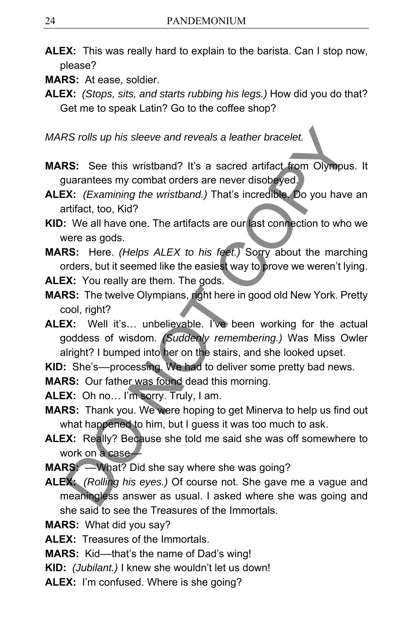- **ALEX:** This was really hard to explain to the barista. Can I stop now, please?
- **MARS:** At ease, soldier.
- **ALEX:** *(Stops, sits, and starts rubbing his legs.)* How did you do that? Get me to speak Latin? Go to the coffee shop?

*MARS rolls up his sleeve and reveals a leather bracelet.* 

- **MARS:** See this wristband? It's a sacred artifact from Olympus. It guarantees my combat orders are never disobeyed.
- **ALEX:** *(Examining the wristband.)* That's incredible. Do you have an artifact, too, Kid?
- **KID:** We all have one. The artifacts are our last connection to who we were as gods.
- **MARS:** Here. *(Helps ALEX to his feet.)* Sorry about the marching orders, but it seemed like the easiest way to prove we weren't lying.
- **ALEX:** You really are them. The gods.
- **MARS:** The twelve Olympians, right here in good old New York. Pretty cool, right?
- **ALEX:** Well it's… unbelievable. I've been working for the actual goddess of wisdom. *(Suddenly remembering.)* Was Miss Owler alright? I bumped into her on the stairs, and she looked upset. RS rolls up his sleeve and reveals a leather bracelet.<br> **RS:** See this wristband? It's a sacred artifact from Olympu<br>
uuarantees my combat orders are never disobsyed.<br> **X:** (Examining the wristband.) That's incredible. Do
- **KID:** She's––processing. We had to deliver some pretty bad news.

**MARS:** Our father was found dead this morning.

**ALEX:** Oh no… I'm sorry. Truly, I am.

- **MARS:** Thank you. We were hoping to get Minerva to help us find out what happened to him, but I guess it was too much to ask.
- **ALEX:** Really? Because she told me said she was off somewhere to work on a case-
- **MARS:** ––What? Did she say where she was going?
- **ALEX:** *(Rolling his eyes.)* Of course not. She gave me a vague and meaningless answer as usual. I asked where she was going and she said to see the Treasures of the Immortals.
- **MARS:** What did you say?

**ALEX:** Treasures of the Immortals.

**MARS:** Kid––that's the name of Dad's wing!

**KID:** *(Jubilant.)* I knew she wouldn't let us down!

**ALEX:** I'm confused. Where is she going?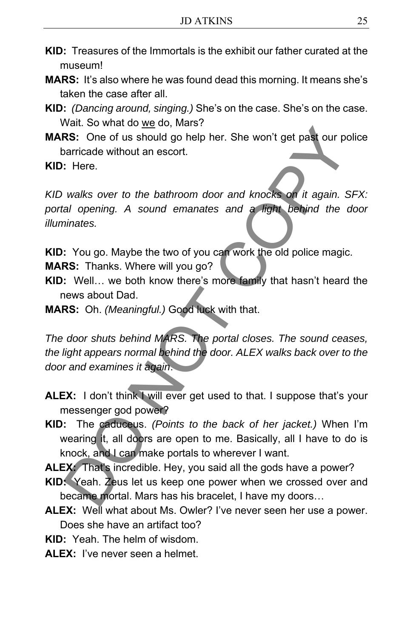- **KID:** Treasures of the Immortals is the exhibit our father curated at the museum!
- **MARS:** It's also where he was found dead this morning. It means she's taken the case after all.
- **KID:** *(Dancing around, singing.)* She's on the case. She's on the case. Wait. So what do we do, Mars?
- **MARS:** One of us should go help her. She won't get past our police barricade without an escort.

**KID:** Here.

*KID walks over to the bathroom door and knocks on it again. SFX: portal opening. A sound emanates and a light behind the door illuminates.*  Native of the bathroom door and knocks on it again. S<br>
Native of the should go help her. She won't get past our positions of the bathroom door and knocks on it again. S<br>
all opening. A sound emanates and a light behind the

**KID:** You go. Maybe the two of you can work the old police magic.

**MARS:** Thanks. Where will you go?

- **KID:** Well… we both know there's more family that hasn't heard the news about Dad.
- **MARS:** Oh. *(Meaningful.)* Good luck with that.

*The door shuts behind MARS. The portal closes. The sound ceases, the light appears normal behind the door. ALEX walks back over to the door and examines it again*.

- **ALEX:** I don't think I will ever get used to that. I suppose that's your messenger god power?
- **KID:** The caduceus. *(Points to the back of her jacket.)* When I'm wearing it, all doors are open to me. Basically, all I have to do is knock, and I can make portals to wherever I want.

**ALEX:** That's incredible. Hey, you said all the gods have a power?

- **KID:** Yeah. Zeus let us keep one power when we crossed over and became mortal. Mars has his bracelet, I have my doors…
- ALEX: Well what about Ms. Owler? I've never seen her use a power. Does she have an artifact too?

**KID:** Yeah. The helm of wisdom.

**ALEX:** I've never seen a helmet.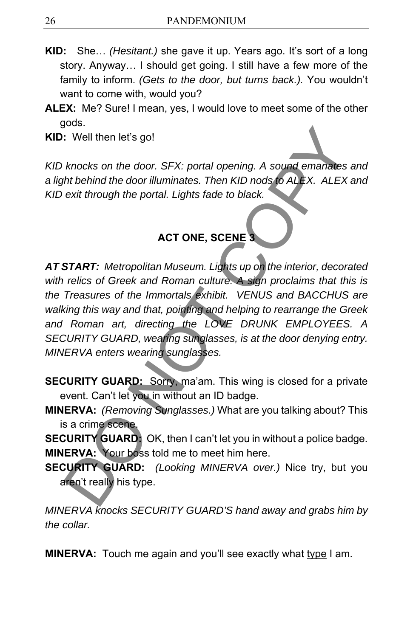- **KID:** She… *(Hesitant.)* she gave it up. Years ago. It's sort of a long story. Anyway… I should get going. I still have a few more of the family to inform. *(Gets to the door, but turns back.).* You wouldn't want to come with, would you?
- **ALEX:** Me? Sure! I mean, yes, I would love to meet some of the other gods.

**KID:** Well then let's go!

*KID knocks on the door. SFX: portal opening. A sound emanates and a light behind the door illuminates. Then KID nods to ALEX. ALEX and KID exit through the portal. Lights fade to black.*

## **ACT ONE, SCENE 3**

*AT START: Metropolitan Museum. Lights up on the interior, decorated with relics of Greek and Roman culture. A sign proclaims that this is the Treasures of the Immortals exhibit. VENUS and BACCHUS are walking this way and that, pointing and helping to rearrange the Greek and Roman art, directing the LOVE DRUNK EMPLOYEES. A SECURITY GUARD, wearing sunglasses, is at the door denying entry. MINERVA enters wearing sunglasses.*  CONTINUITY CONTINUITY CONTINUITY CONTINUITY CONTINUITY CONTINUITY CONTINUITY CONTINUITY CONTINUITY CONTINUITY CONTINUITY CONTINUITY CONTINUITY CONTINUITY CONTINUITY CONTINUITY CONTINUITY CONTINUITY CONTINUITY CONTINUITY CO

- **SECURITY GUARD:** Sorry, ma'am. This wing is closed for a private event. Can't let you in without an ID badge.
- **MINERVA:** *(Removing Sunglasses.)* What are you talking about? This is a crime scene.

**SECURITY GUARD:** OK, then I can't let you in without a police badge. **MINERVA:** Your boss told me to meet him here.

**SECURITY GUARD:** *(Looking MINERVA over.)* Nice try, but you aren't really his type.

*MINERVA knocks SECURITY GUARD'S hand away and grabs him by the collar.* 

**MINERVA:** Touch me again and you'll see exactly what type I am.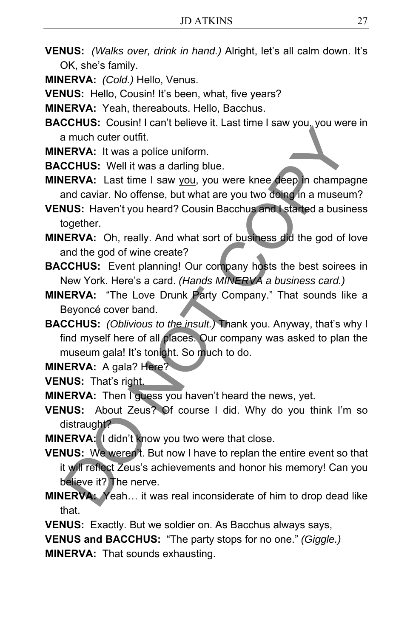- **VENUS:** *(Walks over, drink in hand.)* Alright, let's all calm down. It's OK, she's family.
- **MINERVA:** *(Cold.)* Hello, Venus.
- **VENUS:** Hello, Cousin! It's been, what, five years?
- **MINERVA:** Yeah, thereabouts. Hello, Bacchus.
- **BACCHUS:** Cousin! I can't believe it. Last time I saw you, you were in a much cuter outfit.
- **MINERVA:** It was a police uniform.
- **BACCHUS:** Well it was a darling blue.
- **MINERVA:** Last time I saw you, you were knee deep in champagne and caviar. No offense, but what are you two doing in a museum?
- **VENUS:** Haven't you heard? Cousin Bacchus and I started a business together.
- **MINERVA:** Oh, really. And what sort of business did the god of love and the god of wine create?
- **BACCHUS:** Event planning! Our company hosts the best soirees in New York. Here's a card. *(Hands MINERVA a business card.)*
- **MINERVA:** "The Love Drunk Party Company." That sounds like a Beyoncé cover band.
- **BACCHUS:** *(Oblivious to the insult.)* Thank you. Anyway, that's why I find myself here of all places. Our company was asked to plan the museum gala! It's tonight. So much to do.

**MINERVA: A gala? Here?** 

**VENUS:** That's right.

**MINERVA:** Then I guess you haven't heard the news, yet.

- **VENUS:** About Zeus? Of course I did. Why do you think I'm so distraught?
- **MINERVA:** I didn't know you two were that close.
- **VENUS:** We weren't. But now I have to replan the entire event so that it will reflect Zeus's achievements and honor his memory! Can you believe it? The nerve. income with the main state and the main state and the entry of the method of the method of the method of the method of the method of the section of the section of couple and state and state and state and state and state an
- **MINERVA:** Yeah… it was real inconsiderate of him to drop dead like that.
- **VENUS:** Exactly. But we soldier on. As Bacchus always says,

**VENUS and BACCHUS:** "The party stops for no one." *(Giggle.)*

**MINERVA:** That sounds exhausting.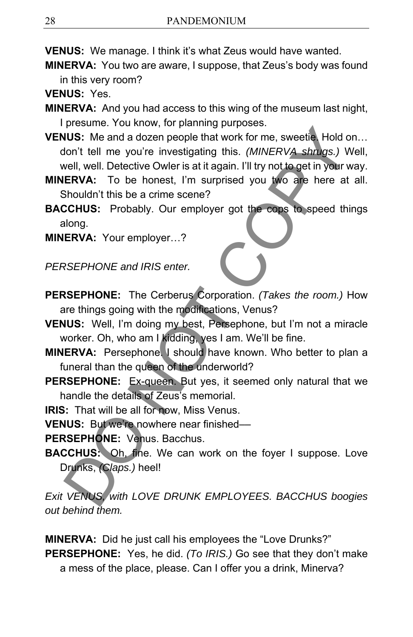**VENUS:** We manage. I think it's what Zeus would have wanted.

**MINERVA:** You two are aware, I suppose, that Zeus's body was found in this very room?

**VENUS:** Yes.

**MINERVA:** And you had access to this wing of the museum last night, I presume. You know, for planning purposes.

**VENUS:** Me and a dozen people that work for me, sweetie. Hold on… don't tell me you're investigating this. *(MINERVA shrugs.)* Well, well, well. Detective Owler is at it again. I'll try not to get in your way. FUGNION The main of the dialogue of the form of the space of the VENUS: Me and a dozen people that work for me, sweetied Hold con't tell me you're investigating this. (*MINERVA shnugs.)* V<br>
well, well. Detective Owler is a

**MINERVA:** To be honest, I'm surprised you two are here at all. Shouldn't this be a crime scene?

**BACCHUS:** Probably. Our employer got the cops to speed things along.

**MINERVA:** Your employer…?

*PERSEPHONE and IRIS enter.* 

- **PERSEPHONE:** The Cerberus Corporation. *(Takes the room.)* How are things going with the modifications, Venus?
- **VENUS:** Well, I'm doing my best, Persephone, but I'm not a miracle worker. Oh, who am I kidding, yes I am. We'll be fine.
- **MINERVA:** Persephone. I should have known. Who better to plan a funeral than the queen of the underworld?
- PERSEPHONE: Ex-queen. But yes, it seemed only natural that we handle the details of Zeus's memorial.
- **IRIS:** That will be all for now, Miss Venus.

**VENUS:** But we're nowhere near finished––

**PERSEPHONE:** Venus. Bacchus.

**BACCHUS:** Oh, fine. We can work on the foyer I suppose. Love Drunks, *(Claps.)* heel!

*Exit VENUS, with LOVE DRUNK EMPLOYEES. BACCHUS boogies out behind them.* 

**MINERVA:** Did he just call his employees the "Love Drunks?" **PERSEPHONE:** Yes, he did. *(To IRIS.)* Go see that they don't make a mess of the place, please. Can I offer you a drink, Minerva?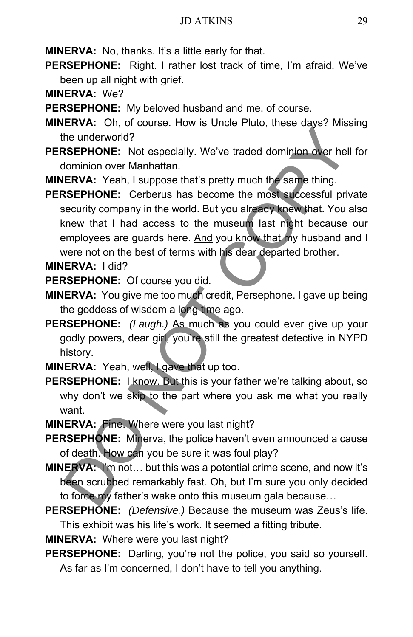**MINERVA:** No, thanks. It's a little early for that.

**PERSEPHONE:** Right. I rather lost track of time, I'm afraid. We've been up all night with grief.

**MINERVA:** We?

**PERSEPHONE:** My beloved husband and me, of course.

**MINERVA:** Oh, of course. How is Uncle Pluto, these days? Missing the underworld?

**PERSEPHONE:** Not especially. We've traded dominion over hell for dominion over Manhattan.

**MINERVA:** Yeah, I suppose that's pretty much the same thing.

**PERSEPHONE:** Cerberus has become the most successful private security company in the world. But you already knew that. You also knew that I had access to the museum last night because our employees are guards here. And you know that my husband and I were not on the best of terms with his dear departed brother. The underworld?<br>
In the underworld?<br>
In the underworld?<br>
ISEPHONE: Not especially. We've traded dominion over heliominon over Manhattan.<br>
ERVA: Yeah, I suppose that's pretty much the same thing.<br>
ERVA: Yeah, I suppose that

**MINERVA:** I did?

**PERSEPHONE:** Of course you did.

- **MINERVA:** You give me too much credit, Persephone. I gave up being the goddess of wisdom a long time ago.
- **PERSEPHONE:** *(Laugh.)* As much as you could ever give up your godly powers, dear girl, you're still the greatest detective in NYPD history.

**MINERVA:** Yeah, well, I gave that up too.

**PERSEPHONE:** I know. But this is your father we're talking about, so why don't we skip to the part where you ask me what you really want.

**MINERVA:** Fine. Where were you last night?

**PERSEPHONE:** Minerva, the police haven't even announced a cause of death. How can you be sure it was foul play?

- **MINERVA:** I'm not… but this was a potential crime scene, and now it's been scrubbed remarkably fast. Oh, but I'm sure you only decided to force my father's wake onto this museum gala because…
- **PERSEPHONE:** *(Defensive.)* Because the museum was Zeus's life. This exhibit was his life's work. It seemed a fitting tribute.

**MINERVA:** Where were you last night?

**PERSEPHONE:** Darling, you're not the police, you said so yourself. As far as I'm concerned, I don't have to tell you anything.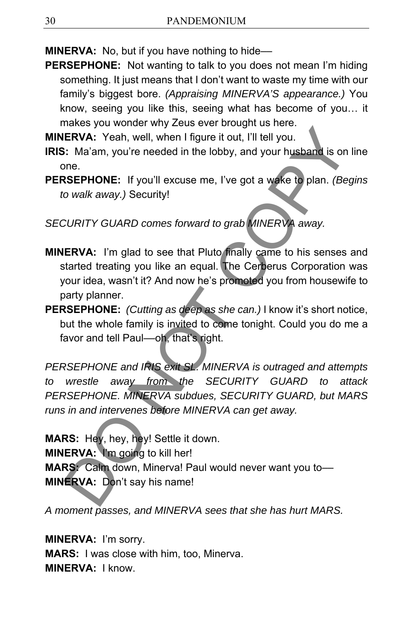**MINERVA:** No, but if you have nothing to hide—

**PERSEPHONE:** Not wanting to talk to you does not mean I'm hiding something. It just means that I don't want to waste my time with our family's biggest bore. *(Appraising MINERVA'S appearance.)* You know, seeing you like this, seeing what has become of you… it makes you wonder why Zeus ever brought us here.

**MINERVA:** Yeah, well, when I figure it out, I'll tell you.

- **IRIS:** Ma'am, you're needed in the lobby, and your husband is on line one.
- **PERSEPHONE:** If you'll excuse me, I've got a wake to plan. *(Begins to walk away.)* Security!

*SECURITY GUARD comes forward to grab MINERVA away.* 

- **MINERVA:** I'm glad to see that Pluto finally came to his senses and started treating you like an equal. The Cerberus Corporation was your idea, wasn't it? And now he's promoted you from housewife to party planner.
- **PERSEPHONE:** *(Cutting as deep as she can.)* I know it's short notice, but the whole family is invited to come tonight. Could you do me a favor and tell Paul-oh, that's right.

*PERSEPHONE and IRIS exit SL. MINERVA is outraged and attempts to wrestle away from the SECURITY GUARD to attack PERSEPHONE. MINERVA subdues, SECURITY GUARD, but MARS runs in and intervenes before MINERVA can get away.*  ERVA: Yeah, well, when I figure it out, I'll tell you.<br>
ERVA: Yeah, well, when I figure it out, I'll tell you.<br>
SEPHONE: If you'll excuse me, I've got a wake to plan. (Best SEPHONE: If you'll excuse me, I've got a wake to

**MARS:** Hey, hey, hey! Settle it down. **MINERVA:** I'm going to kill her! **MARS:** Calm down, Minerva! Paul would never want you to–– **MINERVA:** Don't say his name!

*A moment passes, and MINERVA sees that she has hurt MARS.* 

**MINERVA:** I'm sorry. **MARS:** I was close with him, too, Minerva. **MINERVA:** I know.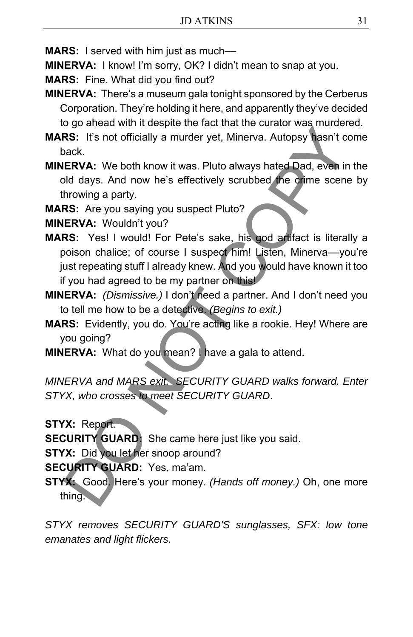**MARS:** I served with him just as much—

**MINERVA:** I know! I'm sorry, OK? I didn't mean to snap at you.

**MARS:** Fine. What did you find out?

- **MINERVA:** There's a museum gala tonight sponsored by the Cerberus Corporation. They're holding it here, and apparently they've decided to go ahead with it despite the fact that the curator was murdered.
- **MARS:** It's not officially a murder yet, Minerva. Autopsy hasn't come back.
- **MINERVA:** We both know it was. Pluto always hated Dad, even in the old days. And now he's effectively scrubbed the crime scene by throwing a party.

**MARS:** Are you saying you suspect Pluto?

**MINERVA:** Wouldn't you?

- **MARS:** Yes! I would! For Pete's sake, his god artifact is literally a poison chalice; of course I suspect him! Listen, Minerva-you're just repeating stuff I already knew. And you would have known it too if you had agreed to be my partner on this! by a much a term in the seat that the values that the values with the seat that the values when the seat that the seat that the seat of the seat of the seat of the seat of the seat of the seat of the seat of the seat of th
- **MINERVA:** *(Dismissive.)* I don't need a partner. And I don't need you to tell me how to be a detective. *(Begins to exit.)*
- **MARS:** Evidently, you do. You're acting like a rookie. Hey! Where are you going?
- **MINERVA:** What do you mean? I have a gala to attend.

*MINERVA and MARS exit. SECURITY GUARD walks forward. Enter STYX, who crosses to meet SECURITY GUARD*.

**STYX:** Report.

**SECURITY GUARD:** She came here just like you said.

**STYX:** Did you let her snoop around?

**SECURITY GUARD:** Yes, ma'am.

**STYX:** Good. Here's your money. *(Hands off money.)* Oh, one more thing.

*STYX removes SECURITY GUARD'S sunglasses, SFX: low tone emanates and light flickers.*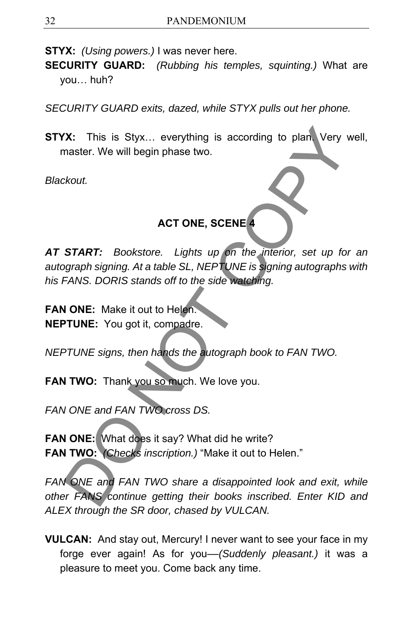**STYX:** *(Using powers.)* I was never here.

**SECURITY GUARD:** *(Rubbing his temples, squinting.)* What are you… huh?

*SECURITY GUARD exits, dazed, while STYX pulls out her phone.*

**STYX:** This is Styx… everything is according to plan. Very well, master. We will begin phase two.

*Blackout.* 

### **ACT ONE, SCENE 4**

*AT START: Bookstore. Lights up on the interior, set up for an autograph signing. At a table SL, NEPTUNE is signing autographs with his FANS. DORIS stands off to the side watching.*  X: This is Styx... everything is according to plan. Very v<br>
master. We will begin phase two.<br>
SKOUT.<br>
START: Bookstore. Lights up on the interior, set up to<br>
graph signing. At a table SL, NEPTUNE is signing autographs<br>
FAN

**FAN ONE:** Make it out to Helen. **NEPTUNE:** You got it, compadre.

*NEPTUNE signs, then hands the autograph book to FAN TWO.* 

FAN TWO: Thank you so much. We love you.

*FAN ONE and FAN TWO cross DS.* 

**FAN ONE:** What does it say? What did he write? **FAN TWO:** *(Checks inscription.)* "Make it out to Helen."

*FAN ONE and FAN TWO share a disappointed look and exit, while other FANS continue getting their books inscribed. Enter KID and ALEX through the SR door, chased by VULCAN.*

**VULCAN:** And stay out, Mercury! I never want to see your face in my forge ever again! As for you––*(Suddenly pleasant.)* it was a pleasure to meet you. Come back any time.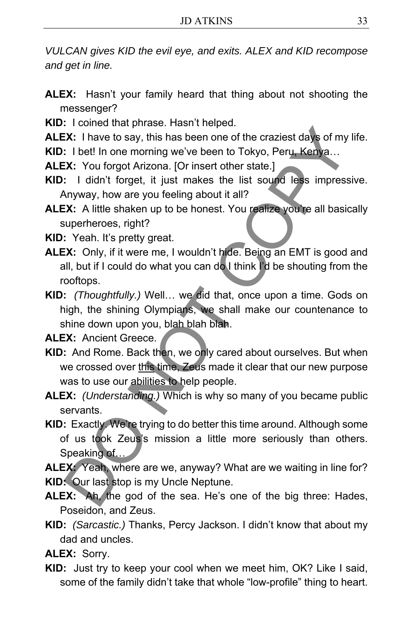*VULCAN gives KID the evil eye, and exits. ALEX and KID recompose and get in line.* 

- **ALEX:** Hasn't your family heard that thing about not shooting the messenger?
- **KID:** I coined that phrase. Hasn't helped.
- **ALEX:** I have to say, this has been one of the craziest days of my life.
- **KID:** I bet! In one morning we've been to Tokyo, Peru, Kenya...
- ALEX: You forgot Arizona. [Or insert other state.]
- **KID:** I didn't forget, it just makes the list sound less impressive. Anyway, how are you feeling about it all?
- ALEX: A little shaken up to be honest. You realize you're all basically superheroes, right?
- **KID:** Yeah. It's pretty great.
- **ALEX:** Only, if it were me, I wouldn't hide. Being an EMT is good and all, but if I could do what you can do I think I'd be shouting from the rooftops.
- **KID:** *(Thoughtfully.)* Well… we did that, once upon a time. Gods on high, the shining Olympians, we shall make our countenance to shine down upon you, blah blah blah. These to the propertions are the many of the craziest days of my<br>
T. There to say, this has been one of the craziest days of my<br>
T. I bet! In one morning we've been to Tokyo, Peru, Kenya...<br>
T. You forgot Arizona. [Or inse

**ALEX:** Ancient Greece.

- **KID:** And Rome. Back then, we only cared about ourselves. But when we crossed over this time, Zeus made it clear that our new purpose was to use our abilities to help people.
- **ALEX:** *(Understanding.)* Which is why so many of you became public servants.
- **KID:** Exactly. We're trying to do better this time around. Although some of us took Zeus's mission a little more seriously than others. Speaking of...

**ALEX:** Yeah, where are we, anyway? What are we waiting in line for? **KID:** Our last stop is my Uncle Neptune.

- **ALEX:** Ah, the god of the sea. He's one of the big three: Hades, Poseidon, and Zeus.
- **KID:** *(Sarcastic.)* Thanks, Percy Jackson. I didn't know that about my dad and uncles.

**ALEX:** Sorry.

**KID:** Just try to keep your cool when we meet him, OK? Like I said, some of the family didn't take that whole "low-profile" thing to heart.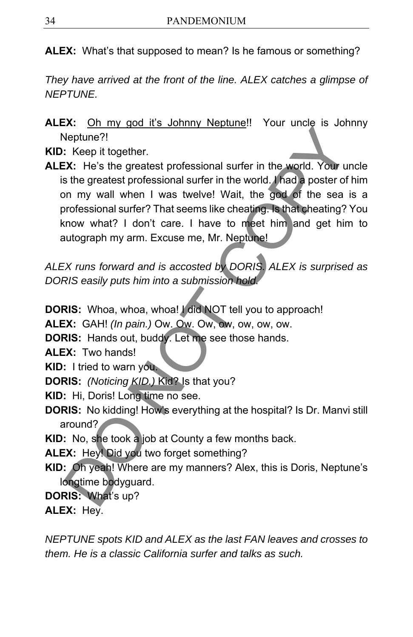**ALEX:** What's that supposed to mean? Is he famous or something?

*They have arrived at the front of the line. ALEX catches a glimpse of NEPTUNE.* 

**ALEX:** Oh my god it's Johnny Neptune!! Your uncle is Johnny Neptune?!

**KID:** Keep it together.

**ALEX:** He's the greatest professional surfer in the world. Your uncle is the greatest professional surfer in the world. I had a poster of him on my wall when I was twelve! Wait, the god of the sea is a professional surfer? That seems like cheating. Is that cheating? You know what? I don't care. I have to meet him and get him to autograph my arm. Excuse me, Mr. Neptune! Something Processional surfer in the world. You are<br>leptune?!<br>Consider the greatest professional surfer in the world. You under<br>the greatest professional surfer in the world. And a poster of<br>the greatest professional surfe

*ALEX runs forward and is accosted by DORIS. ALEX is surprised as DORIS easily puts him into a submission hold.* 

**DORIS:** Whoa, whoa, whoa! I did NOT tell you to approach!

**ALEX:** GAH! *(In pain.)* Ow. Ow. Ow, ow, ow, ow, ow.

**DORIS:** Hands out, buddy. Let me see those hands.

**ALEX:** Two hands!

**KID:** I tried to warn you.

**DORIS:** *(Noticing KID.)* Kid? Is that you?

**KID:** Hi, Doris! Long time no see.

**DORIS:** No kidding! How's everything at the hospital? Is Dr. Manvi still around?

**KID:** No, she took a job at County a few months back.

**ALEX:** Hey! Did you two forget something?

- **KID:** Oh yeah! Where are my manners? Alex, this is Doris, Neptune's longtime bodyguard.
- **DORIS:** What's up?

**ALEX:** Hey.

*NEPTUNE spots KID and ALEX as the last FAN leaves and crosses to them. He is a classic California surfer and talks as such.*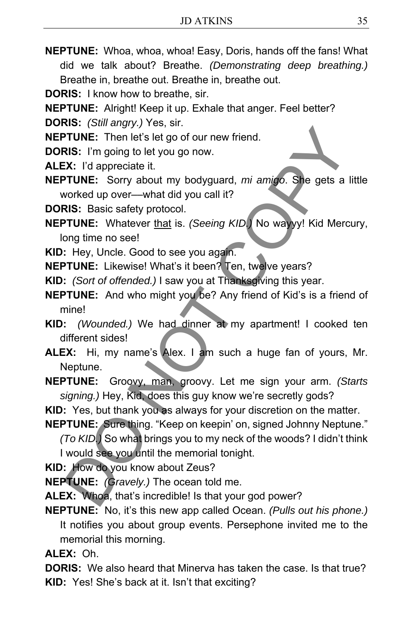- **NEPTUNE:** Whoa, whoa, whoa! Easy, Doris, hands off the fans! What did we talk about? Breathe. *(Demonstrating deep breathing.)* Breathe in, breathe out. Breathe in, breathe out.
- **DORIS:** I know how to breathe, sir.
- **NEPTUNE:** Alright! Keep it up. Exhale that anger. Feel better?
- **DORIS:** *(Still angry.)* Yes, sir.
- **NEPTUNE:** Then let's let go of our new friend.
- **DORIS:** I'm going to let you go now.
- **ALEX:** I'd appreciate it.
- **NEPTUNE:** Sorry about my bodyguard, *mi amigo*. She gets a little worked up over––what did you call it?
- **DORIS:** Basic safety protocol.
- **NEPTUNE:** Whatever that is. *(Seeing KID.)* No wayyy! Kid Mercury, long time no see! **ETTINE:** Then left's let go of our new friend.<br> **RIS:** I'm going to let you go now.<br> **RIS:** I'm going to let you go now.<br> **RIS:** I'm going to let you go now.<br> **RIS:** Basic safety protocol.<br> **RIS:** Basic safety protocol.<br>
- **KID:** Hey, Uncle. Good to see you again.
- **NEPTUNE:** Likewise! What's it been? Ten, twelve years?
- **KID:** *(Sort of offended.)* I saw you at Thanksgiving this year.
- **NEPTUNE:** And who might you be? Any friend of Kid's is a friend of mine!
- **KID:** *(Wounded.)* We had dinner at my apartment! I cooked ten different sides!
- **ALEX:** Hi, my name's Alex. I am such a huge fan of yours, Mr. Neptune.
- **NEPTUNE:** Groovy, man, groovy. Let me sign your arm. *(Starts signing.)* Hey, Kid, does this guy know we're secretly gods?
- **KID:** Yes, but thank you as always for your discretion on the matter.
- **NEPTUNE:** Sure thing. "Keep on keepin' on, signed Johnny Neptune."
	- *(To KID.)* So what brings you to my neck of the woods? I didn't think I would see you until the memorial tonight.
- **KID:** How do you know about Zeus?
- **NEPTUNE:** *(Gravely.)* The ocean told me.
- **ALEX:** Whoa, that's incredible! Is that your god power?
- **NEPTUNE:** No, it's this new app called Ocean. *(Pulls out his phone.)* It notifies you about group events. Persephone invited me to the memorial this morning.
- **ALEX:** Oh.

**DORIS:** We also heard that Minerva has taken the case. Is that true? **KID:** Yes! She's back at it. Isn't that exciting?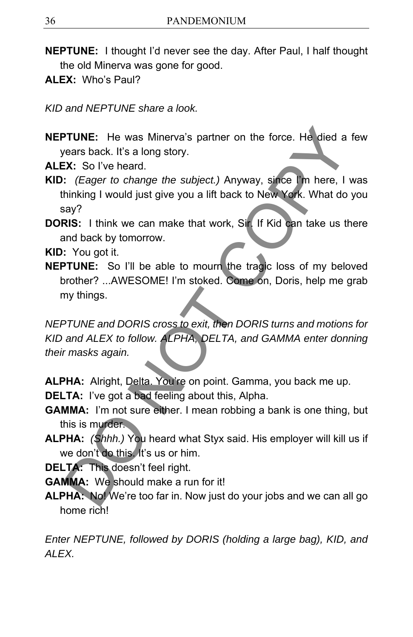- **NEPTUNE:** I thought I'd never see the day. After Paul, I half thought the old Minerva was gone for good.
- **ALEX:** Who's Paul?

*KID and NEPTUNE share a look.* 

- **NEPTUNE:** He was Minerva's partner on the force. He died a few years back. It's a long story.
- **ALEX:** So I've heard.
- **KID:** *(Eager to change the subject.)* Anyway, since I'm here, I was thinking I would just give you a lift back to New York. What do you say?
- **DORIS:** I think we can make that work, Sir. If Kid can take us there and back by tomorrow.

**KID:** You got it.

**NEPTUNE:** So I'll be able to mourn the tragic loss of my beloved brother? ...AWESOME! I'm stoked. Come on, Doris, help me grab my things.

*NEPTUNE and DORIS cross to exit, then DORIS turns and motions for KID and ALEX to follow. ALPHA, DELTA, and GAMMA enter donning their masks again.*  **PTUNE:** He was Minerva's partner on the force. He died a<br>vears back. It's a long story.<br> **EX:** So I've heard.<br> **EX:** So I've heard.<br> **EX:** So I've heard.<br> **EXECUTE COPY COPY COPY ACT COPY AND THE COPY SOFT TO HEAD INTIMI** 

**ALPHA:** Alright, Delta. You're on point. Gamma, you back me up.

**DELTA:** I've got a bad feeling about this, Alpha.

- **GAMMA:** I'm not sure either. I mean robbing a bank is one thing, but this is murder.
- **ALPHA:** *(Shhh.)* You heard what Styx said. His employer will kill us if we don't do this. It's us or him.

**DELTA:** This doesn't feel right.

**GAMMA:** We should make a run for it!

**ALPHA:** No! We're too far in. Now just do your jobs and we can all go home rich!

*Enter NEPTUNE, followed by DORIS (holding a large bag), KID, and ALEX.*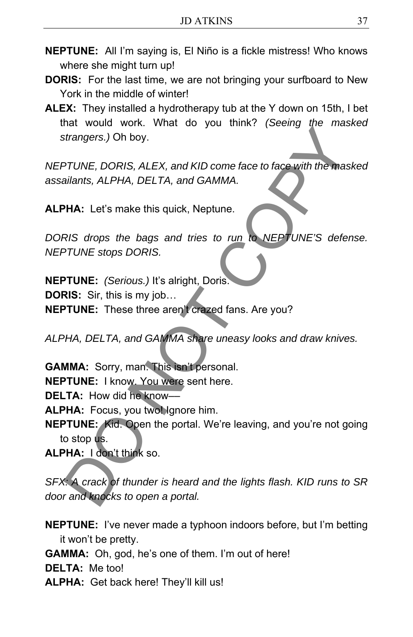- **NEPTUNE:** All I'm saying is, El Niño is a fickle mistress! Who knows where she might turn up!
- **DORIS:** For the last time, we are not bringing your surfboard to New York in the middle of winter!
- **ALEX:** They installed a hydrotherapy tub at the Y down on 15th, I bet that would work. What do you think? *(Seeing the masked strangers.)* Oh boy.

*NEPTUNE, DORIS, ALEX, and KID come face to face with the masked assailants, ALPHA, DELTA, and GAMMA.*

**ALPHA:** Let's make this quick, Neptune.

*DORIS drops the bags and tries to run to NEPTUNE'S defense. NEPTUNE stops DORIS.* 

**NEPTUNE:** *(Serious.)* It's alright, Doris. **DORIS:** Sir, this is my job… **NEPTUNE:** These three aren't crazed fans. Are you? Extrangers.) Oh boy.<br>
Distangers.) Oh boy.<br>
TUNE, DORIS, ALEX, and KID come face to face with the mass<br>
ailants, ALPHA, DELTA, and GAMMA.<br>
PHA: Let's make this quick, Neptune.<br>
RIS drops the bags and tries to run to NEPTUN

*ALPHA, DELTA, and GAMMA share uneasy looks and draw knives.* 

**GAMMA:** Sorry, man. This isn't personal. **NEPTUNE:** I know. You were sent here.

**DELTA:** How did he know––

**ALPHA:** Focus, you twollgnore him.

**NEPTUNE:** Kid. Open the portal. We're leaving, and you're not going to stop us.

**ALPHA:** I don't think so.

*SFX: A crack of thunder is heard and the lights flash. KID runs to SR door and knocks to open a portal.* 

**NEPTUNE:** I've never made a typhoon indoors before, but I'm betting it won't be pretty.

**GAMMA:** Oh, god, he's one of them. I'm out of here!

**DELTA:** Me too!

**ALPHA:** Get back here! They'll kill us!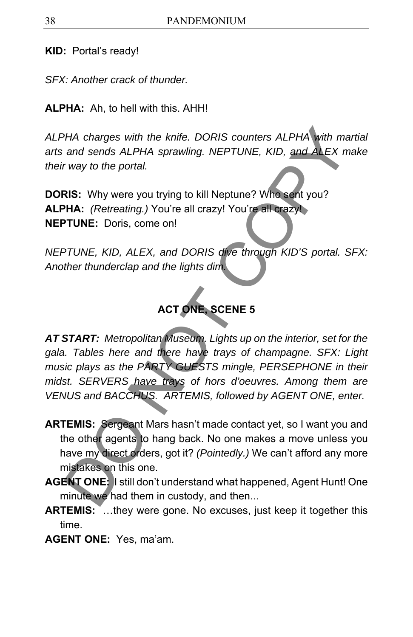**KID:** Portal's ready!

*SFX: Another crack of thunder.* 

**ALPHA:** Ah, to hell with this. AHH!

*ALPHA charges with the knife. DORIS counters ALPHA with martial arts and sends ALPHA sprawling. NEPTUNE, KID, and ALEX make their way to the portal.* 

**DORIS:** Why were you trying to kill Neptune? Who sent you? **ALPHA:** *(Retreating.)* You're all crazy! You're all crazy! **NEPTUNE:** Doris, come on!

*NEPTUNE, KID, ALEX, and DORIS dive through KID'S portal. SFX: Another thunderclap and the lights dim.* 

# **ACT ONE, SCENE 5**

*AT START: Metropolitan Museum. Lights up on the interior, set for the gala. Tables here and there have trays of champagne. SFX: Light music plays as the PARTY GUESTS mingle, PERSEPHONE in their midst. SERVERS have trays of hors d'oeuvres. Among them are VENUS and BACCHUS. ARTEMIS, followed by AGENT ONE, enter.*  THA charges with the knife. DORIS counters ALPHA with mand sends ALPHA sprawling. NEPTUNE, KID, and ALEX m<br>
and sends ALPHA sprawling. NEPTUNE, KID, and ALEX m<br>
TWIS: Why were you trying to kill Neptune? Who sent you?<br>
NHA

- **ARTEMIS:** Sergeant Mars hasn't made contact yet, so I want you and the other agents to hang back. No one makes a move unless you have my direct orders, got it? *(Pointedly.)* We can't afford any more mistakes on this one.
- **AGENT ONE:** I still don't understand what happened, Agent Hunt! One minute we had them in custody, and then...
- **ARTEMIS:** …they were gone. No excuses, just keep it together this time.
- **AGENT ONE:** Yes, ma'am.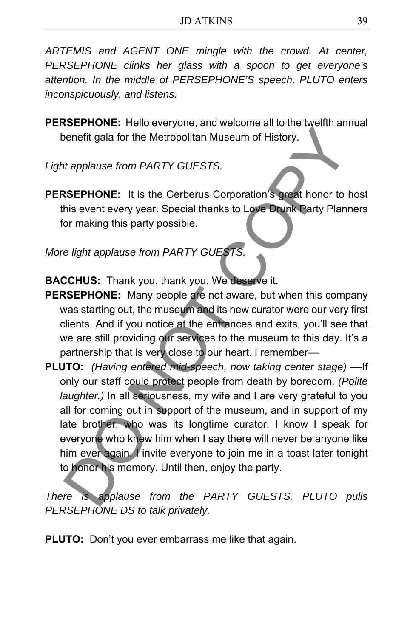*ARTEMIS and AGENT ONE mingle with the crowd. At center, PERSEPHONE clinks her glass with a spoon to get everyone's attention. In the middle of PERSEPHONE'S speech, PLUTO enters inconspicuously, and listens.*

**PERSEPHONE:** Hello everyone, and welcome all to the twelfth annual benefit gala for the Metropolitan Museum of History.

*Light applause from PARTY GUESTS.* 

**PERSEPHONE:** It is the Cerberus Corporation's great honor to host this event every year. Special thanks to Love Drunk Party Planners for making this party possible.

*More light applause from PARTY GUESTS.* 

**BACCHUS:** Thank you, thank you. We deserve it.

- **PERSEPHONE:** Many people are not aware, but when this company was starting out, the museum and its new curator were our very first clients. And if you notice at the entrances and exits, you'll see that we are still providing our services to the museum to this day. It's a partnership that is very close to our heart. I remember––
- **PLUTO:** *(Having entered mid-speech, now taking center stage)* ––If only our staff could protect people from death by boredom. *(Polite laughter.)* In all seriousness, my wife and I are very grateful to you all for coming out in support of the museum, and in support of my late brother, who was its longtime curator. I know I speak for everyone who knew him when I say there will never be anyone like him ever again. I invite everyone to join me in a toast later tonight to honor his memory. Until then, enjoy the party. Consideration of History<br>
The periodic of the Metropolitan Museum of History.<br>
SEPHONE: It is the Cerberus Corporation's great honor to history.<br>
SEPHONE: It is the Cerberus Corporation's great honor to his event every yea

*There is applause from the PARTY GUESTS. PLUTO pulls PERSEPHONE DS to talk privately.* 

**PLUTO:** Don't you ever embarrass me like that again.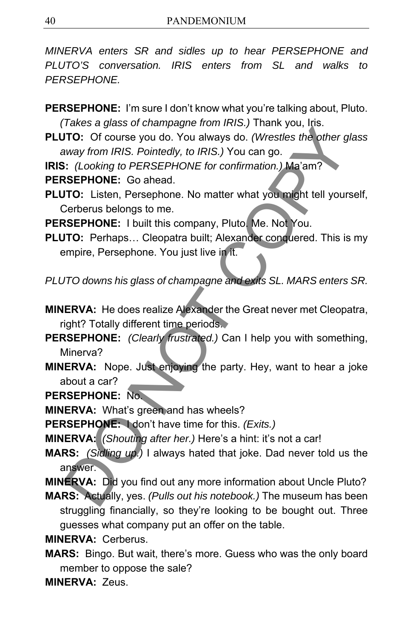*MINERVA enters SR and sidles up to hear PERSEPHONE and PLUTO'S conversation. IRIS enters from SL and walks to PERSEPHONE.* 

**PERSEPHONE:** I'm sure I don't know what you're talking about, Pluto. *(Takes a glass of champagne from IRIS.)* Thank you, Iris.

**PLUTO:** Of course you do. You always do. *(Wrestles the other glass away from IRIS. Pointedly, to IRIS.)* You can go.

**IRIS:** *(Looking to PERSEPHONE for confirmation.)* Ma'am?

**PERSEPHONE:** Go ahead.

**PLUTO:** Listen, Persephone. No matter what you might tell yourself, Cerberus belongs to me.

**PERSEPHONE:** I built this company, Pluto. Me. Not You.

**PLUTO:** Perhaps… Cleopatra built; Alexander conquered. This is my empire, Persephone. You just live in it.

*PLUTO downs his glass of champagne and exits SL. MARS enters SR.* 

**MINERVA:** He does realize Alexander the Great never met Cleopatra, right? Totally different time periods.

**PERSEPHONE:** *(Clearly frustrated.)* Can I help you with something, Minerva?

**MINERVA:** Nope. Just enjoying the party. Hey, want to hear a joke about a car? FIGNORE System Many and Many American Many Channels and System Channels and System (To: Of course you do. You always do. (Westles the other g<br>way from IRIS. Pointedly, to IRIS.) You can go.<br>
:: (Looking to PERSEPHONE for c

**PERSEPHONE:** No.

**MINERVA:** What's green and has wheels?

**PERSEPHONE:** I don't have time for this. *(Exits.)*

**MINERVA:** *(Shouting after her.)* Here's a hint: it's not a car!

**MARS:** *(Sidling up.)* I always hated that joke. Dad never told us the answer.

**MINERVA:** Did you find out any more information about Uncle Pluto?

**MARS:** Actually, yes. *(Pulls out his notebook.)* The museum has been struggling financially, so they're looking to be bought out. Three guesses what company put an offer on the table.

**MINERVA:** Cerberus.

**MARS:** Bingo. But wait, there's more. Guess who was the only board member to oppose the sale?

**MINERVA:** Zeus.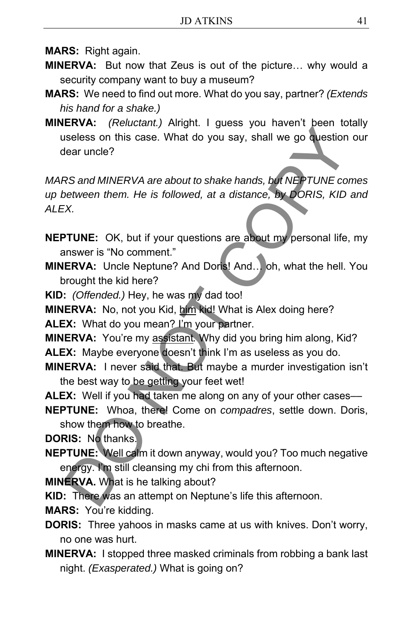**MARS:** Right again.

- **MINERVA:** But now that Zeus is out of the picture… why would a security company want to buy a museum?
- **MARS:** We need to find out more. What do you say, partner? *(Extends his hand for a shake.)*
- **MINERVA:** *(Reluctant.)* Alright. I guess you haven't been totally useless on this case. What do you say, shall we go question our dear uncle?

*MARS and MINERVA are about to shake hands, but NEPTUNE comes up between them. He is followed, at a distance, by DORIS, KID and ALEX.*  ENCINE TO the Real Control of the relation of the relation of the set all the relation of the control of the relation of the relation of the state and MINERVA are about to shake hands, but NEPTUNE coletween them. He is fol

- **NEPTUNE:** OK, but if your questions are about my personal life, my answer is "No comment."
- **MINERVA:** Uncle Neptune? And Doris! And… oh, what the hell. You brought the kid here?
- **KID:** *(Offended.)* Hey, he was my dad too!
- **MINERVA:** No, not you Kid, him kid! What is Alex doing here?

ALEX: What do you mean? I'm your partner.

**MINERVA:** You're my assistant*.* Why did you bring him along, Kid?

**ALEX:** Maybe everyone doesn't think I'm as useless as you do.

- **MINERVA:** I never said that. But maybe a murder investigation isn't the best way to be getting your feet wet!
- **ALEX:** Well if you had taken me along on any of your other cases—

**NEPTUNE:** Whoa, there! Come on *compadres*, settle down. Doris, show them how to breathe.

**DORIS:** No thanks.

- **NEPTUNE:** Well calm it down anyway, would you? Too much negative energy. I'm still cleansing my chi from this afternoon.
- **MINERVA.** What is he talking about?

**KID:** There was an attempt on Neptune's life this afternoon.

**MARS:** You're kidding.

- **DORIS:** Three yahoos in masks came at us with knives. Don't worry, no one was hurt.
- **MINERVA:** I stopped three masked criminals from robbing a bank last night. *(Exasperated.)* What is going on?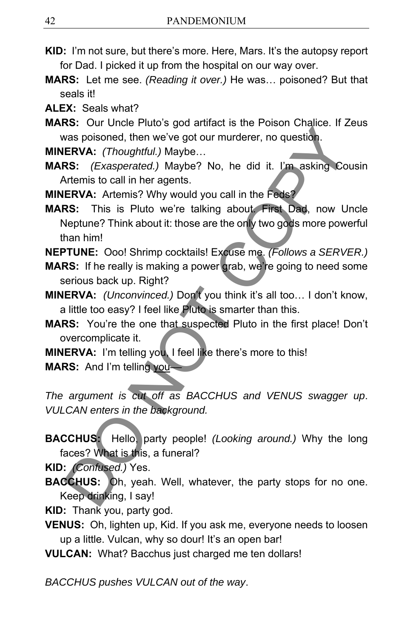- **KID:** I'm not sure, but there's more. Here, Mars. It's the autopsy report for Dad. I picked it up from the hospital on our way over.
- **MARS:** Let me see. *(Reading it over.)* He was… poisoned? But that seals it!

**ALEX:** Seals what?

**MARS:** Our Uncle Pluto's god artifact is the Poison Chalice. If Zeus was poisoned, then we've got our murderer, no question.

**MINERVA:** *(Thoughtful.)* Maybe…

**MARS:** *(Exasperated.)* Maybe? No, he did it. I'm asking Cousin Artemis to call in her agents.

**MINERVA:** Artemis? Why would you call in the Feds?

**MARS:** This is Pluto we're talking about. First Dad, now Uncle Neptune? Think about it: those are the only two gods more powerful than him! vas poisoned, then we've got our murderer, no question.<br>
ReNA: (Thoughtful.) Maybe...<br>
RS: (Exasperated.) Maybe? No, he did it. I'm asking Cot<br>
RNA: (Thoughtful.) Maybe...<br>
RS: (Exasperated.) Maybe? No, he did it. I'm aski

**NEPTUNE:** Ooo! Shrimp cocktails! Excuse me. *(Follows a SERVER.)*

- **MARS:** If he really is making a power grab, we're going to need some serious back up. Right?
- **MINERVA:** *(Unconvinced.)* Don't you think it's all too… I don't know, a little too easy? I feel like Pluto is smarter than this.
- **MARS:** You're the one that suspected Pluto in the first place! Don't overcomplicate it.
- **MINERVA:** I'm telling you, I feel like there's more to this!

**MARS:** And I'm telling you*––*

*The argument is cut off as BACCHUS and VENUS swagger up*. *VULCAN enters in the background.* 

**BACCHUS:** Hello, party people! *(Looking around.)* Why the long faces? What is this, a funeral?

**KID:** *(Confused.)* Yes.

**BACCHUS:** Oh, yeah. Well, whatever, the party stops for no one. Keep drinking, I say!

**KID:** Thank you, party god.

- **VENUS:** Oh, lighten up, Kid. If you ask me, everyone needs to loosen up a little. Vulcan, why so dour! It's an open bar!
- **VULCAN:** What? Bacchus just charged me ten dollars!

*BACCHUS pushes VULCAN out of the way*.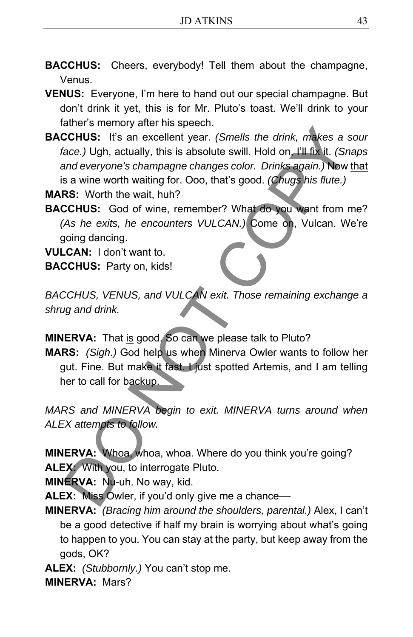**BACCHUS:** Cheers, everybody! Tell them about the champagne, Venus.

**VENUS:** Everyone, I'm here to hand out our special champagne. But don't drink it yet, this is for Mr. Pluto's toast. We'll drink to your father's memory after his speech.

**BACCHUS:** It's an excellent year. *(Smells the drink, makes a sour face.)* Ugh, actually, this is absolute swill. Hold on, I'll fix it. *(Snaps and everyone's champagne changes color. Drinks again.)* Now that is a wine worth waiting for. Ooo, that's good. *(Chugs his flute.)* EXAINDINGTON TO THE SERVAL THIS CONDUCT CHUS: It's an excellent year. (Smells the drink, makes a sace.) Ugh, actually, this is absolute swill. Hold on, I'll fix it. (Sn and everyone's champagne changes color. Drinks again.

**MARS:** Worth the wait, huh?

**BACCHUS:** God of wine, remember? What do you want from me? *(As he exits, he encounters VULCAN.)* Come on, Vulcan. We're going dancing.

**VULCAN:** I don't want to. **BACCHUS:** Party on, kids!

*BACCHUS, VENUS, and VULCAN exit. Those remaining exchange a shrug and drink.* 

**MINERVA:** That is good. So can we please talk to Pluto?

**MARS:** *(Sigh.)* God help us when Minerva Owler wants to follow her gut. Fine. But make it fast. I just spotted Artemis, and I am telling her to call for backup.

*MARS and MINERVA begin to exit. MINERVA turns around when ALEX attempts to follow.* 

**MINERVA:** Whoa, whoa, whoa. Where do you think you're going? **ALEX:** With you, to interrogate Pluto.

**MINERVA:** Nu-uh. No way, kid.

**ALEX:** Miss Owler, if you'd only give me a chance––

**MINERVA:** *(Bracing him around the shoulders, parental.)* Alex, I can't be a good detective if half my brain is worrying about what's going to happen to you. You can stay at the party, but keep away from the gods, OK?

**ALEX:** *(Stubbornly.)* You can't stop me. **MINERVA:** Mars?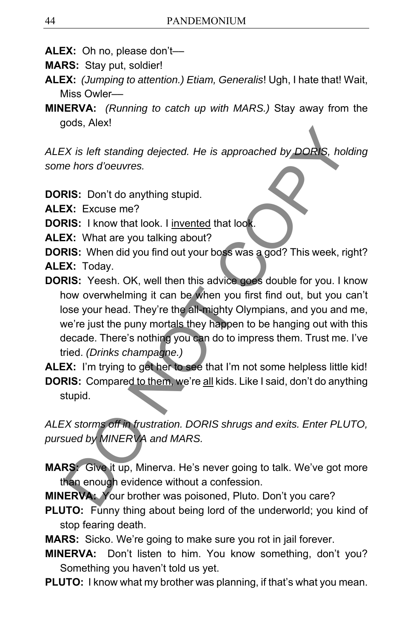- **ALEX:** Oh no, please don't––
- **MARS:** Stay put, soldier!
- **ALEX:** *(Jumping to attention.) Etiam, Generalis*! Ugh, I hate that! Wait, Miss Owler––
- **MINERVA:** *(Running to catch up with MARS.)* Stay away from the gods, Alex!

*ALEX is left standing dejected. He is approached by DORIS, holding some hors d'oeuvres.* 

**DORIS:** Don't do anything stupid.

**ALEX:** Excuse me?

**DORIS:** I know that look. I invented that look.

**ALEX:** What are you talking about?

**DORIS:** When did you find out your boss was a god? This week, right? **ALEX:** Today.

**DORIS:** Yeesh. OK, well then this advice goes double for you. I know how overwhelming it can be when you first find out, but you can't lose your head. They're the all-mighty Olympians, and you and me, we're just the puny mortals they happen to be hanging out with this decade. There's nothing you can do to impress them. Trust me. I've tried. *(Drinks champagne.)* Exis left standing dejected. He is approached by DORIS, hole<br>hors d'oeuvres.<br>
RIS: Don't do anything stupid.<br>
RIS: Don't do anything stupid.<br>
RIS: Excuse me?<br>
RIS: I know that look. I <u>invented</u> that look.<br>
RIS: Yesh divid

**ALEX:** I'm trying to get her to see that I'm not some helpless little kid! **DORIS:** Compared to them, we're all kids. Like I said, don't do anything stupid.

*ALEX storms off in frustration. DORIS shrugs and exits. Enter PLUTO, pursued by MINERVA and MARS.* 

**MARS:** Give it up, Minerva. He's never going to talk. We've got more than enough evidence without a confession.

**MINERVA:** Your brother was poisoned, Pluto. Don't you care?

**PLUTO:** Funny thing about being lord of the underworld; you kind of stop fearing death.

**MARS:** Sicko. We're going to make sure you rot in jail forever.

- **MINERVA:** Don't listen to him. You know something, don't you? Something you haven't told us yet.
- **PLUTO:** I know what my brother was planning, if that's what you mean.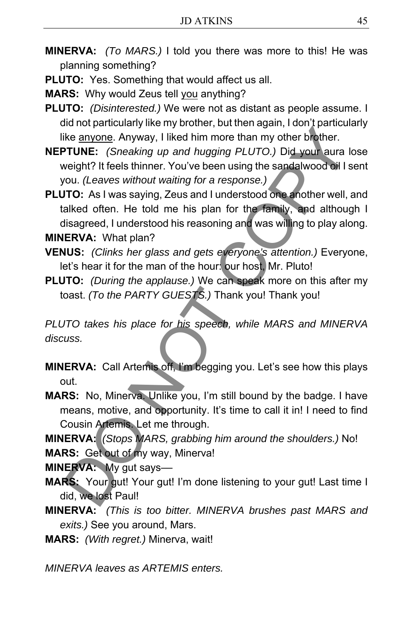- **MINERVA:** *(To MARS.)* I told you there was more to this! He was planning something?
- **PLUTO:** Yes. Something that would affect us all.

**MARS:** Why would Zeus tell you anything?

- **PLUTO:** *(Disinterested.)* We were not as distant as people assume. I did not particularly like my brother, but then again, I don't particularly like anyone. Anyway, I liked him more than my other brother.
- **NEPTUNE:** *(Sneaking up and hugging PLUTO.)* Did your aura lose weight? It feels thinner. You've been using the sandalwood oil I sent you. *(Leaves without waiting for a response.)*

**PLUTO:** As I was saying, Zeus and I understood one another well, and talked often. He told me his plan for the family, and although I disagreed, I understood his reasoning and was willing to play along. **MINERVA:** What plan? is the anyone. Anyway, I liked him more than my other brother.<br>
He anyone. Anyway, I liked him more than my other brother.<br>
PTUNE: (Sneaking up and hugging PLUTO.) Did your aura leeight? It feels thinner. You've been using

- **VENUS:** *(Clinks her glass and gets everyone's attention.)* Everyone, let's hear it for the man of the hour: our host, Mr. Pluto!
- **PLUTO:** *(During the applause.)* We can speak more on this after my toast. *(To the PARTY GUESTS.)* Thank you! Thank you!

*PLUTO takes his place for his speech, while MARS and MINERVA discuss.* 

- **MINERVA:** Call Artemis off, I'm begging you. Let's see how this plays out.
- **MARS:** No, Minerva. Unlike you, I'm still bound by the badge. I have means, motive, and opportunity. It's time to call it in! I need to find Cousin Artemis. Let me through.

**MINERVA:** *(Stops MARS, grabbing him around the shoulders.)* No! **MARS:** Get out of my way, Minerva!

**MINERVA:** My gut says––

- **MARS:** Your gut! Your gut! I'm done listening to your gut! Last time I did, we lost Paul!
- **MINERVA:** *(This is too bitter. MINERVA brushes past MARS and exits.)* See you around, Mars.
- **MARS:** *(With regret.)* Minerva, wait!

*MINERVA leaves as ARTEMIS enters.*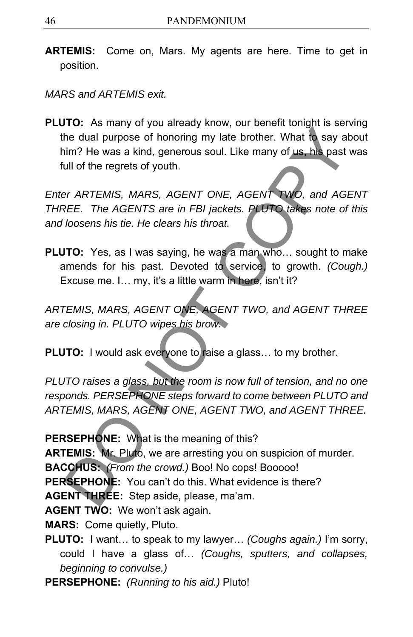**ARTEMIS:** Come on, Mars. My agents are here. Time to get in position.

*MARS and ARTEMIS exit.* 

**PLUTO:** As many of you already know, our benefit tonight is serving the dual purpose of honoring my late brother. What to say about him? He was a kind, generous soul. Like many of us, his past was full of the regrets of youth. The dual purpose of honoring my late brother. What to say at<br>the dual purpose of honoring my late brother. What to say at<br>sim? He was a kind, generous soul. Like many of us. his past<br>tull of the regrets of youth.<br>For ARTEM

*Enter ARTEMIS, MARS, AGENT ONE, AGENT TWO, and AGENT THREE. The AGENTS are in FBI jackets. PLUTO takes note of this and loosens his tie. He clears his throat.* 

**PLUTO:** Yes, as I was saying, he was a man who… sought to make amends for his past. Devoted to service, to growth. *(Cough.)* Excuse me. I… my, it's a little warm in here, isn't it?

*ARTEMIS, MARS, AGENT ONE, AGENT TWO, and AGENT THREE are closing in. PLUTO wipes his brow.* 

**PLUTO:** I would ask everyone to raise a glass... to my brother.

*PLUTO raises a glass, but the room is now full of tension, and no one responds. PERSEPHONE steps forward to come between PLUTO and ARTEMIS, MARS, AGENT ONE, AGENT TWO, and AGENT THREE.* 

**PERSEPHONE:** What is the meaning of this?

**ARTEMIS:** Mr. Pluto, we are arresting you on suspicion of murder.

**BACCHUS:** *(From the crowd.)* Boo! No cops! Booooo!

**PERSEPHONE:** You can't do this. What evidence is there?

**AGENT THREE:** Step aside, please, ma'am.

**AGENT TWO:** We won't ask again.

**MARS:** Come quietly, Pluto.

**PLUTO:** I want… to speak to my lawyer… *(Coughs again.)* I'm sorry, could I have a glass of… *(Coughs, sputters, and collapses, beginning to convulse.)*

**PERSEPHONE:** *(Running to his aid.)* Pluto!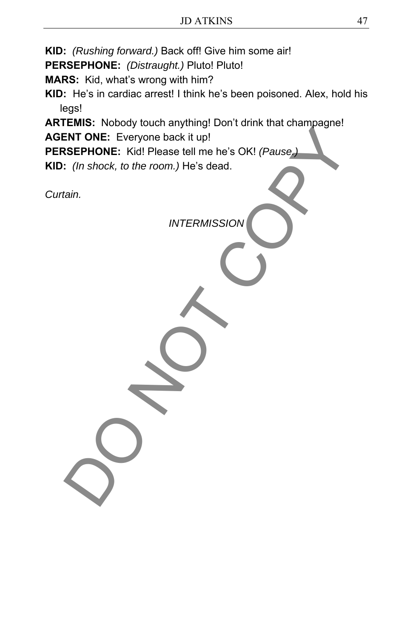**KID:** *(Rushing forward.)* Back off! Give him some air!

**PERSEPHONE:** *(Distraught.)* Pluto! Pluto!

**MARS:** Kid, what's wrong with him?

**KID:** He's in cardiac arrest! I think he's been poisoned. Alex, hold his legs!

**ARTEMIS:** Nobody touch anything! Don't drink that champagne!

**AGENT ONE:** Everyone back it up!

**PERSEPHONE:** Kid! Please tell me he's OK! *(Pause.)* ENT ONE: Everyone back it up!<br>
INT ONE: Everyone back it up!<br>
SEPHONE: Kidl Please tell me he's OK! (Pause)<br>
(*in shock, to the room.*) He's dead.<br>
(ain.<br>
INTERMISSION

**KID:** *(In shock, to the room.)* He's dead.

*Curtain.* 

*INTERMISSION*